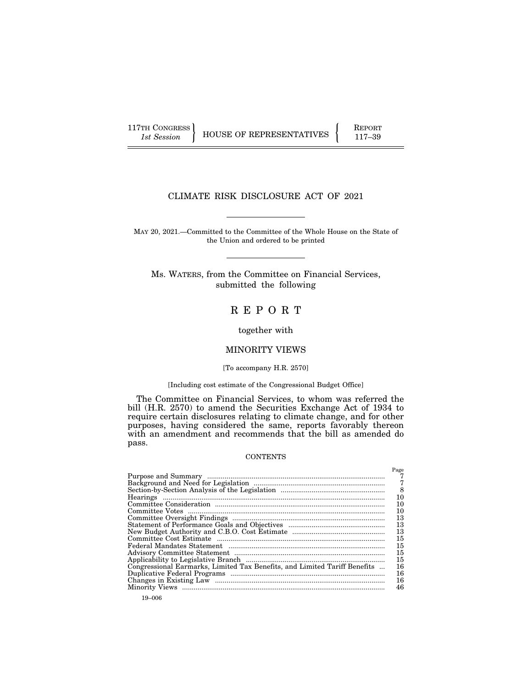117TH CONGRESS HOUSE OF REPRESENTATIVES FEPORT 117-39

## CLIMATE RISK DISCLOSURE ACT OF 2021

MAY 20, 2021.—Committed to the Committee of the Whole House on the State of the Union and ordered to be printed

Ms. WATERS, from the Committee on Financial Services, submitted the following

# R E P O R T

together with

## MINORITY VIEWS

## [To accompany H.R. 2570]

#### [Including cost estimate of the Congressional Budget Office]

The Committee on Financial Services, to whom was referred the bill (H.R. 2570) to amend the Securities Exchange Act of 1934 to require certain disclosures relating to climate change, and for other purposes, having considered the same, reports favorably thereon with an amendment and recommends that the bill as amended do pass.

### **CONTENTS**

|                                                                           | Page           |
|---------------------------------------------------------------------------|----------------|
|                                                                           |                |
|                                                                           |                |
|                                                                           | 8 <sup>8</sup> |
|                                                                           | 10             |
|                                                                           | 10             |
|                                                                           | 10             |
|                                                                           | 13             |
|                                                                           | 13             |
|                                                                           | 13             |
|                                                                           | 15             |
|                                                                           | 15             |
|                                                                           | 15             |
|                                                                           | 15             |
| Congressional Earmarks, Limited Tax Benefits, and Limited Tariff Benefits | 16             |
|                                                                           | 16             |
|                                                                           | 16             |
|                                                                           | 46             |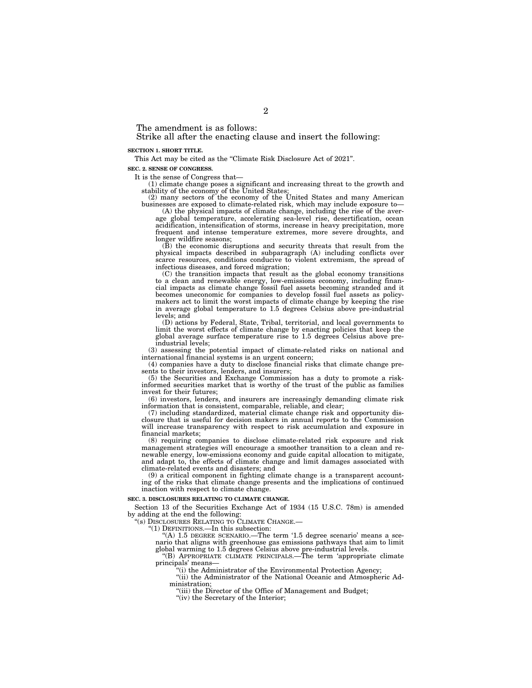The amendment is as follows:

Strike all after the enacting clause and insert the following:

### **SECTION 1. SHORT TITLE.**

This Act may be cited as the "Climate Risk Disclosure Act of 2021".

**SEC. 2. SENSE OF CONGRESS.** 

It is the sense of Congress that—

(1) climate change poses a significant and increasing threat to the growth and stability of the economy of the United States;

(2) many sectors of the economy of the United States and many American businesses are exposed to climate-related risk, which may include exposure to—

(A) the physical impacts of climate change, including the rise of the average global temperature, accelerating sea-level rise, desertification, ocean acidification, intensification of storms, increase in heavy precipitation, more frequent and intense temperature extremes, more severe droughts, and longer wildfire seasons;

(B) the economic disruptions and security threats that result from the physical impacts described in subparagraph (A) including conflicts over scarce resources, conditions conducive to violent extremism, the spread of infectious diseases, and forced migration;

(C) the transition impacts that result as the global economy transitions to a clean and renewable energy, low-emissions economy, including financial impacts as climate change fossil fuel assets becoming stranded and it becomes uneconomic for companies to develop fossil fuel assets as policymakers act to limit the worst impacts of climate change by keeping the rise in average global temperature to 1.5 degrees Celsius above pre-industrial levels; and

(D) actions by Federal, State, Tribal, territorial, and local governments to limit the worst effects of climate change by enacting policies that keep the global average surface temperature rise to 1.5 degrees Celsius above preindustrial levels;

(3) assessing the potential impact of climate-related risks on national and international financial systems is an urgent concern;

(4) companies have a duty to disclose financial risks that climate change presents to their investors, lenders, and insurers;

(5) the Securities and Exchange Commission has a duty to promote a riskinformed securities market that is worthy of the trust of the public as families invest for their futures;

(6) investors, lenders, and insurers are increasingly demanding climate risk information that is consistent, comparable, reliable, and clear;

(7) including standardized, material climate change risk and opportunity disclosure that is useful for decision makers in annual reports to the Commission will increase transparency with respect to risk accumulation and exposure in financial markets;

(8) requiring companies to disclose climate-related risk exposure and risk management strategies will encourage a smoother transition to a clean and renewable energy, low-emissions economy and guide capital allocation to mitigate, and adapt to, the effects of climate change and limit damages associated with climate-related events and disasters; and

(9) a critical component in fighting climate change is a transparent accounting of the risks that climate change presents and the implications of continued inaction with respect to climate change.

#### **SEC. 3. DISCLOSURES RELATING TO CLIMATE CHANGE.**

Section 13 of the Securities Exchange Act of 1934 (15 U.S.C. 78m) is amended by adding at the end the following:

''(s) DISCLOSURES RELATING TO CLIMATE CHANGE.—

''(1) DEFINITIONS.—In this subsection:

"(A)  $1.5$  DEGREE SCENARIO.—The term  $1.5$  degree scenario' means a scenario that aligns with greenhouse gas emissions pathways that aim to limit global warming to 1.5 degrees Celsius above pre-industrial levels.

''(B) APPROPRIATE CLIMATE PRINCIPALS.—The term 'appropriate climate principals' means—

"(i) the Administrator of the Environmental Protection Agency;

''(ii) the Administrator of the National Oceanic and Atmospheric Administration;

"(iii) the Director of the Office of Management and Budget;

"(iv) the Secretary of the Interior;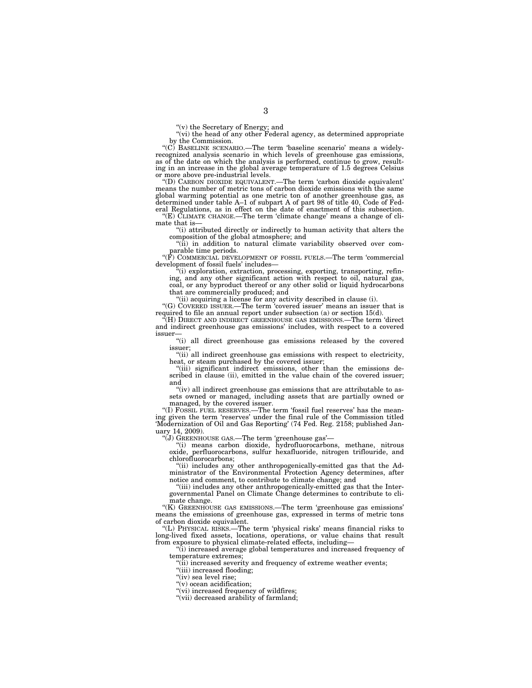''(v) the Secretary of Energy; and

"(vi) the head of any other Federal agency, as determined appropriate by the Commission.

''(C) BASELINE SCENARIO.—The term 'baseline scenario' means a widelyrecognized analysis scenario in which levels of greenhouse gas emissions, as of the date on which the analysis is performed, continue to grow, resulting in an increase in the global average temperature of 1.5 degrees Celsius or more above pre-industrial levels.

''(D) CARBON DIOXIDE EQUIVALENT.—The term 'carbon dioxide equivalent' means the number of metric tons of carbon dioxide emissions with the same global warming potential as one metric ton of another greenhouse gas, as determined under table A–1 of subpart A of part 98 of title 40, Code of Fed-eral Regulations, as in effect on the date of enactment of this subsection. "(E)  $\text{CLIMATE CHANGE.}$ —The term 'climate change' means a change of cli-

mate that is-

''(i) attributed directly or indirectly to human activity that alters the composition of the global atmosphere; and

"(ii) in addition to natural climate variability observed over comparable time periods.

''(F) COMMERCIAL DEVELOPMENT OF FOSSIL FUELS.—The term 'commercial development of fossil fuels' includes—

''(i) exploration, extraction, processing, exporting, transporting, refining, and any other significant action with respect to oil, natural gas, coal, or any byproduct thereof or any other solid or liquid hydrocarbons that are commercially produced; and

"(ii) acquiring a license for any activity described in clause (i). ''(G) COVERED ISSUER.—The term 'covered issuer' means an issuer that is

required to file an annual report under subsection (a) or section 15(d). (H) DIRECT AND INDIRECT GREENHOUSE GAS EMISSIONS.—The term 'direct

and indirect greenhouse gas emissions' includes, with respect to a covered issuer—

''(i) all direct greenhouse gas emissions released by the covered issuer;

"(ii) all indirect greenhouse gas emissions with respect to electricity, heat, or steam purchased by the covered issuer;

"(iii) significant indirect emissions, other than the emissions described in clause (ii), emitted in the value chain of the covered issuer; and

"(iv) all indirect greenhouse gas emissions that are attributable to assets owned or managed, including assets that are partially owned or managed, by the covered issuer.

"(I) FOSSIL FUEL RESERVES.—The term 'fossil fuel reserves' has the meaning given the term 'reserves' under the final rule of the Commission titled 'Modernization of Oil and Gas Reporting' (74 Fed. Reg. 2158; published January 14, 2009).

" $(J)$  GREENHOUSE GAS.—The term 'greenhouse gas'

''(i) means carbon dioxide, hydrofluorocarbons, methane, nitrous oxide, perfluorocarbons, sulfur hexafluoride, nitrogen triflouride, and chlorofluorocarbons;

"(ii) includes any other anthropogenically-emitted gas that the Administrator of the Environmental Protection Agency determines, after notice and comment, to contribute to climate change; and

''(iii) includes any other anthropogenically-emitted gas that the Intergovernmental Panel on Climate Change determines to contribute to climate change.

''(K) GREENHOUSE GAS EMISSIONS.—The term 'greenhouse gas emissions' means the emissions of greenhouse gas, expressed in terms of metric tons of carbon dioxide equivalent.

''(L) PHYSICAL RISKS.—The term 'physical risks' means financial risks to long-lived fixed assets, locations, operations, or value chains that result from exposure to physical climate-related effects, including—

''(i) increased average global temperatures and increased frequency of temperature extremes;

"(ii) increased severity and frequency of extreme weather events;

''(iii) increased flooding;

"(iv) sea level rise;

''(v) ocean acidification;

"(vi) increased frequency of wildfires;

''(vii) decreased arability of farmland;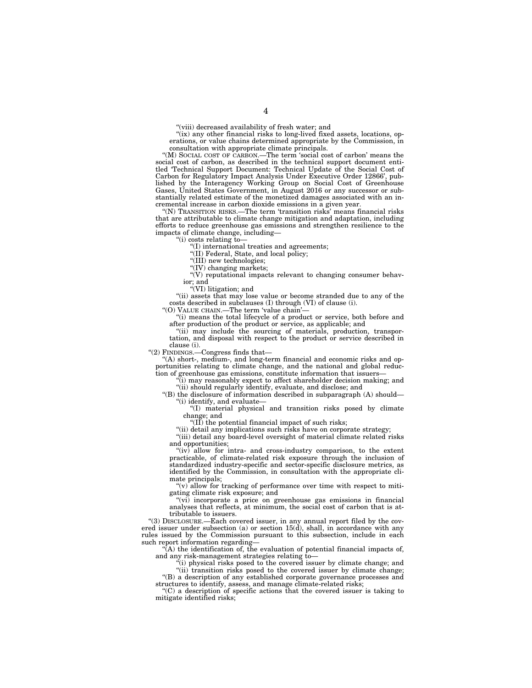'(viii) decreased availability of fresh water; and

"(ix) any other financial risks to long-lived fixed assets, locations, operations, or value chains determined appropriate by the Commission, in consultation with appropriate climate principals.

''(M) SOCIAL COST OF CARBON.—The term 'social cost of carbon' means the social cost of carbon, as described in the technical support document entitled 'Technical Support Document: Technical Update of the Social Cost of Carbon for Regulatory Impact Analysis Under Executive Order 12866', published by the Interagency Working Group on Social Cost of Greenhouse Gases, United States Government, in August 2016 or any successor or substantially related estimate of the monetized damages associated with an incremental increase in carbon dioxide emissions in a given year.

''(N) TRANSITION RISKS.—The term 'transition risks' means financial risks that are attributable to climate change mitigation and adaptation, including efforts to reduce greenhouse gas emissions and strengthen resilience to the impacts of climate change, including—

''(i) costs relating to—

''(I) international treaties and agreements;

"(II) Federal, State, and local policy;

"(III) new technologies;

''(IV) changing markets;

''(V) reputational impacts relevant to changing consumer behavior; and

''(VI) litigation; and

''(ii) assets that may lose value or become stranded due to any of the costs described in subclauses (I) through (VI) of clause (i). ''(O) VALUE CHAIN.—The term 'value chain'—

''(i) means the total lifecycle of a product or service, both before and after production of the product or service, as applicable; and

''(ii) may include the sourcing of materials, production, transportation, and disposal with respect to the product or service described in clause (i).

''(2) FINDINGS.—Congress finds that—

''(A) short-, medium-, and long-term financial and economic risks and opportunities relating to climate change, and the national and global reduction of greenhouse gas emissions, constitute information that issuers—

 $(i)$  may reasonably expect to affect shareholder decision making; and "(ii) should regularly identify, evaluate, and disclose; and

 $\degree$ (B) the disclosure of information described in subparagraph (A) should— ''(i) identify, and evaluate—

''(I) material physical and transition risks posed by climate change; and

"(II) the potential financial impact of such risks:

"(ii) detail any implications such risks have on corporate strategy;

"(iii) detail any board-level oversight of material climate related risks and opportunities;

 $\lim_{\alpha \to 0}$  allow for intra- and cross-industry comparison, to the extent practicable, of climate-related risk exposure through the inclusion of standardized industry-specific and sector-specific disclosure metrics, as identified by the Commission, in consultation with the appropriate climate principals;

"(v) allow for tracking of performance over time with respect to mitigating climate risk exposure; and

 $(vi)$  incorporate a price on greenhouse gas emissions in financial analyses that reflects, at minimum, the social cost of carbon that is attributable to issuers.

''(3) DISCLOSURE.—Each covered issuer, in any annual report filed by the covered issuer under subsection (a) or section 15(d), shall, in accordance with any rules issued by the Commission pursuant to this subsection, include in each such report information regarding—

 $\hat{A}$ ) the identification of, the evaluation of potential financial impacts of, and any risk-management strategies relating to—

(i) physical risks posed to the covered issuer by climate change; and "(ii) transition risks posed to the covered issuer by climate change; ''(B) a description of any established corporate governance processes and structures to identify, assess, and manage climate-related risks;

''(C) a description of specific actions that the covered issuer is taking to mitigate identified risks;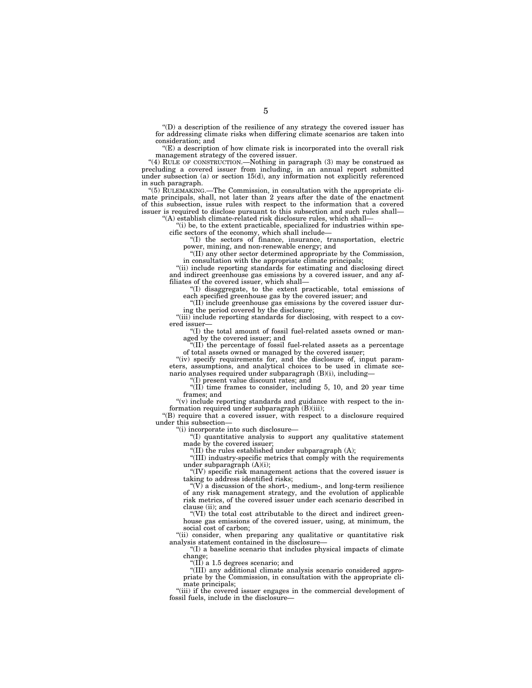''(D) a description of the resilience of any strategy the covered issuer has for addressing climate risks when differing climate scenarios are taken into consideration; and

''(E) a description of how climate risk is incorporated into the overall risk management strategy of the covered issuer.

"(4) RULE OF CONSTRUCTION.—Nothing in paragraph (3) may be construed as precluding a covered issuer from including, in an annual report submitted under subsection (a) or section 15(d), any information not explicitly referenced in such paragraph.<br>"(5) RULEMAKING.

-The Commission, in consultation with the appropriate climate principals, shall, not later than 2 years after the date of the enactment of this subsection, issue rules with respect to the information that a covered issuer is required to disclose pursuant to this subsection and such rules shall— ''(A) establish climate-related risk disclosure rules, which shall—

''(i) be, to the extent practicable, specialized for industries within spe-

cific sectors of the economy, which shall include— ''(I) the sectors of finance, insurance, transportation, electric

power, mining, and non-renewable energy; and ''(II) any other sector determined appropriate by the Commission,

in consultation with the appropriate climate principals; ''(ii) include reporting standards for estimating and disclosing direct and indirect greenhouse gas emissions by a covered issuer, and any affiliates of the covered issuer, which shall—

''(I) disaggregate, to the extent practicable, total emissions of each specified greenhouse gas by the covered issuer; and

''(II) include greenhouse gas emissions by the covered issuer during the period covered by the disclosure;

"(iii) include reporting standards for disclosing, with respect to a covered issuer—

''(I) the total amount of fossil fuel-related assets owned or managed by the covered issuer; and

'(II) the percentage of fossil fuel-related assets as a percentage of total assets owned or managed by the covered issuer;

"(iv) specify requirements for, and the disclosure of, input parameters, assumptions, and analytical choices to be used in climate scenario analyses required under subparagraph (B)(i), including—

''(I) present value discount rates; and

 $\sqrt{\text{III}}$  time frames to consider, including 5, 10, and 20 year time frames; and

''(v) include reporting standards and guidance with respect to the information required under subparagraph (B)(iii);

''(B) require that a covered issuer, with respect to a disclosure required under this subsection—

''(i) incorporate into such disclosure—

''(I) quantitative analysis to support any qualitative statement made by the covered issuer;

''(II) the rules established under subparagraph (A);

''(III) industry-specific metrics that comply with the requirements under subparagraph (A)(i);

''(IV) specific risk management actions that the covered issuer is taking to address identified risks;

 $(v)$  a discussion of the short-, medium-, and long-term resilience of any risk management strategy, and the evolution of applicable risk metrics, of the covered issuer under each scenario described in clause (ii); and

''(VI) the total cost attributable to the direct and indirect greenhouse gas emissions of the covered issuer, using, at minimum, the social cost of carbon;

"(ii) consider, when preparing any qualitative or quantitative risk analysis statement contained in the disclosure—

''(I) a baseline scenario that includes physical impacts of climate change;

''(II) a 1.5 degrees scenario; and

''(III) any additional climate analysis scenario considered appropriate by the Commission, in consultation with the appropriate climate principals;

"(iii) if the covered issuer engages in the commercial development of fossil fuels, include in the disclosure—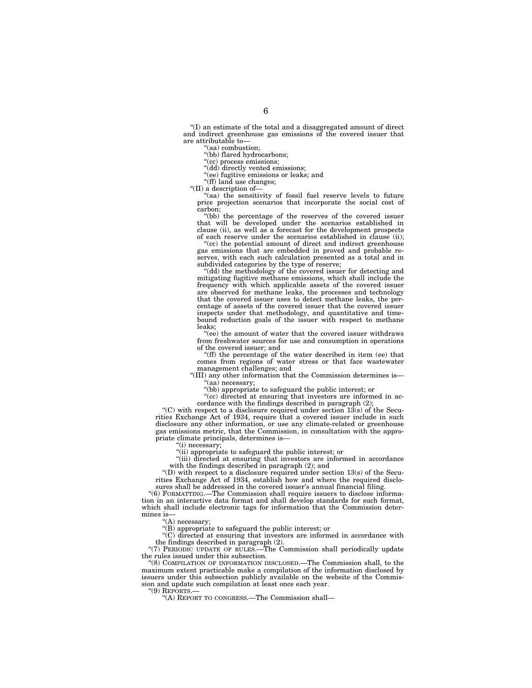''(I) an estimate of the total and a disaggregated amount of direct and indirect greenhouse gas emissions of the covered issuer that are attributable to—

'(aa) combustion:

''(bb) flared hydrocarbons;

"(cc) process emissions;

"(dd) directly vented emissions;

''(ee) fugitive emissions or leaks; and

"(ff) land use changes; ''(II) a description of—

"(aa) the sensitivity of fossil fuel reserve levels to future price projection scenarios that incorporate the social cost of carbon;

''(bb) the percentage of the reserves of the covered issuer that will be developed under the scenarios established in clause (ii), as well as a forecast for the development prospects of each reserve under the scenarios established in clause (ii);

"(cc) the potential amount of direct and indirect greenhouse gas emissions that are embedded in proved and probable reserves, with each such calculation presented as a total and in subdivided categories by the type of reserve;

''(dd) the methodology of the covered issuer for detecting and mitigating fugitive methane emissions, which shall include the frequency with which applicable assets of the covered issuer are observed for methane leaks, the processes and technology that the covered issuer uses to detect methane leaks, the percentage of assets of the covered issuer that the covered issuer inspects under that methodology, and quantitative and timebound reduction goals of the issuer with respect to methane leaks;

"(ee) the amount of water that the covered issuer withdraws from freshwater sources for use and consumption in operations of the covered issuer; and

''(ff) the percentage of the water described in item (ee) that comes from regions of water stress or that face wastewater management challenges; and

''(III) any other information that the Commission determines is— ''(aa) necessary;

''(bb) appropriate to safeguard the public interest; or

"(cc) directed at ensuring that investors are informed in ac-

cordance with the findings described in paragraph (2); "(C) with respect to a disclosure required under section  $13(s)$  of the Securities Exchange Act of 1934, require that a covered issuer include in such disclosure any other information, or use any climate-related or greenhouse gas emissions metric, that the Commission, in consultation with the appropriate climate principals, determines is—

"(i) necessary;

''(ii) appropriate to safeguard the public interest; or

''(iii) directed at ensuring that investors are informed in accordance with the findings described in paragraph (2); and

"(D) with respect to a disclosure required under section  $13(s)$  of the Securities Exchange Act of 1934, establish how and where the required disclosures shall be addressed in the covered issuer's annual financial filing.

''(6) FORMATTING.—The Commission shall require issuers to disclose information in an interactive data format and shall develop standards for such format, which shall include electronic tags for information that the Commission determines is—

''(A) necessary;

''(B) appropriate to safeguard the public interest; or

''(C) directed at ensuring that investors are informed in accordance with the findings described in paragraph (2).

"(7) PERIODIC UPDATE OF RULES.—The Commission shall periodically update the rules issued under this subsection.

''(8) COMPILATION OF INFORMATION DISCLOSED.—The Commission shall, to the maximum extent practicable make a compilation of the information disclosed by issuers under this subsection publicly available on the website of the Commission and update such compilation at least once each year.

''(9) REPORTS.—

''(A) REPORT TO CONGRESS.—The Commission shall—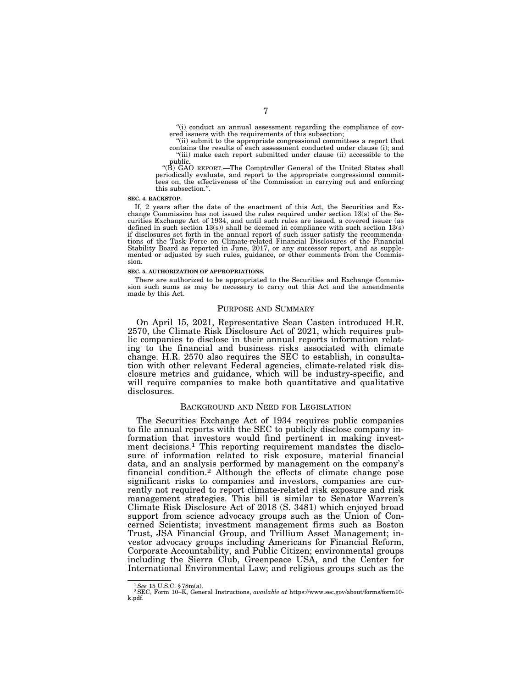''(i) conduct an annual assessment regarding the compliance of covered issuers with the requirements of this subsection;

''(ii) submit to the appropriate congressional committees a report that contains the results of each assessment conducted under clause (i); and ''(iii) make each report submitted under clause (ii) accessible to the  $\ddot{\rm m}$ blic $\ddot{\rm c}$ 

''(B) GAO REPORT.—The Comptroller General of the United States shall periodically evaluate, and report to the appropriate congressional committees on, the effectiveness of the Commission in carrying out and enforcing this subsection.''.

**SEC. 4. BACKSTOP.** 

If, 2 years after the date of the enactment of this Act, the Securities and Exchange Commission has not issued the rules required under section 13(s) of the Securities Exchange Act of 1934, and until such rules are issued, a covered issuer (as defined in such section  $13(s)$ ) shall be deemed in compliance with such section  $13(s)$ if disclosures set forth in the annual report of such issuer satisfy the recommenda-tions of the Task Force on Climate-related Financial Disclosures of the Financial Stability Board as reported in June, 2017, or any successor report, and as supple-mented or adjusted by such rules, guidance, or other comments from the Commission.

#### **SEC. 5. AUTHORIZATION OF APPROPRIATIONS.**

There are authorized to be appropriated to the Securities and Exchange Commission such sums as may be necessary to carry out this Act and the amendments made by this Act.

#### PURPOSE AND SUMMARY

On April 15, 2021, Representative Sean Casten introduced H.R. 2570, the Climate Risk Disclosure Act of 2021, which requires public companies to disclose in their annual reports information relating to the financial and business risks associated with climate change. H.R. 2570 also requires the SEC to establish, in consultation with other relevant Federal agencies, climate-related risk disclosure metrics and guidance, which will be industry-specific, and will require companies to make both quantitative and qualitative disclosures.

#### BACKGROUND AND NEED FOR LEGISLATION

The Securities Exchange Act of 1934 requires public companies to file annual reports with the SEC to publicly disclose company information that investors would find pertinent in making investment decisions.1 This reporting requirement mandates the disclosure of information related to risk exposure, material financial data, and an analysis performed by management on the company's financial condition.2 Although the effects of climate change pose significant risks to companies and investors, companies are currently not required to report climate-related risk exposure and risk management strategies. This bill is similar to Senator Warren's Climate Risk Disclosure Act of 2018 (S. 3481) which enjoyed broad support from science advocacy groups such as the Union of Concerned Scientists; investment management firms such as Boston Trust, JSA Financial Group, and Trillium Asset Management; investor advocacy groups including Americans for Financial Reform, Corporate Accountability, and Public Citizen; environmental groups including the Sierra Club, Greenpeace USA, and the Center for International Environmental Law; and religious groups such as the

<sup>1</sup>*See* 15 U.S.C. § 78m(a). 2SEC, Form 10–K, General Instructions, *available at* https://www.sec.gov/about/forms/form10 k.pdf.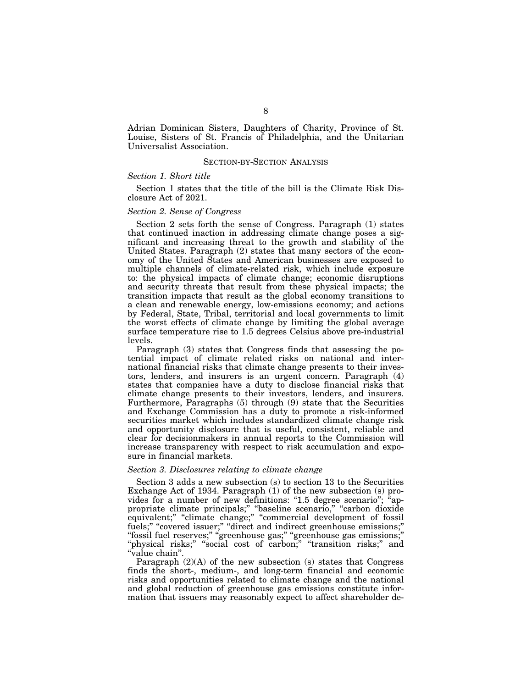Adrian Dominican Sisters, Daughters of Charity, Province of St. Louise, Sisters of St. Francis of Philadelphia, and the Unitarian Universalist Association.

### SECTION-BY-SECTION ANALYSIS

#### *Section 1. Short title*

Section 1 states that the title of the bill is the Climate Risk Disclosure Act of 2021.

### *Section 2. Sense of Congress*

Section 2 sets forth the sense of Congress. Paragraph (1) states that continued inaction in addressing climate change poses a significant and increasing threat to the growth and stability of the United States. Paragraph (2) states that many sectors of the economy of the United States and American businesses are exposed to multiple channels of climate-related risk, which include exposure to: the physical impacts of climate change; economic disruptions and security threats that result from these physical impacts; the transition impacts that result as the global economy transitions to a clean and renewable energy, low-emissions economy; and actions by Federal, State, Tribal, territorial and local governments to limit the worst effects of climate change by limiting the global average surface temperature rise to 1.5 degrees Celsius above pre-industrial levels.

Paragraph (3) states that Congress finds that assessing the potential impact of climate related risks on national and international financial risks that climate change presents to their investors, lenders, and insurers is an urgent concern. Paragraph (4) states that companies have a duty to disclose financial risks that climate change presents to their investors, lenders, and insurers. Furthermore, Paragraphs (5) through (9) state that the Securities and Exchange Commission has a duty to promote a risk-informed securities market which includes standardized climate change risk and opportunity disclosure that is useful, consistent, reliable and clear for decisionmakers in annual reports to the Commission will increase transparency with respect to risk accumulation and exposure in financial markets.

#### *Section 3. Disclosures relating to climate change*

Section 3 adds a new subsection (s) to section 13 to the Securities Exchange Act of 1934. Paragraph (1) of the new subsection (s) provides for a number of new definitions: "1.5 degree scenario"; "appropriate climate principals;'' ''baseline scenario,'' ''carbon dioxide equivalent;" "climate change;" "commercial development of fossil fuels;" "covered issuer;" "direct and indirect greenhouse emissions;" ''fossil fuel reserves;'' ''greenhouse gas;'' ''greenhouse gas emissions;'' "physical risks;" "social cost of carbon;" "transition risks;" and ''value chain''.

Paragraph  $(2)(A)$  of the new subsection (s) states that Congress finds the short-, medium-, and long-term financial and economic risks and opportunities related to climate change and the national and global reduction of greenhouse gas emissions constitute information that issuers may reasonably expect to affect shareholder de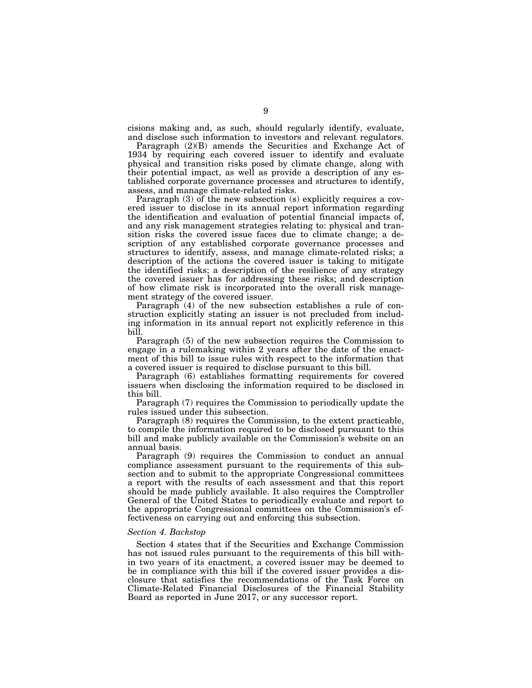cisions making and, as such, should regularly identify, evaluate, and disclose such information to investors and relevant regulators.

Paragraph (2)(B) amends the Securities and Exchange Act of 1934 by requiring each covered issuer to identify and evaluate physical and transition risks posed by climate change, along with their potential impact, as well as provide a description of any established corporate governance processes and structures to identify, assess, and manage climate-related risks.

Paragraph (3) of the new subsection (s) explicitly requires a covered issuer to disclose in its annual report information regarding the identification and evaluation of potential financial impacts of, and any risk management strategies relating to: physical and transition risks the covered issue faces due to climate change; a description of any established corporate governance processes and structures to identify, assess, and manage climate-related risks; a description of the actions the covered issuer is taking to mitigate the identified risks; a description of the resilience of any strategy the covered issuer has for addressing these risks; and description of how climate risk is incorporated into the overall risk management strategy of the covered issuer.

Paragraph (4) of the new subsection establishes a rule of construction explicitly stating an issuer is not precluded from including information in its annual report not explicitly reference in this bill.

Paragraph (5) of the new subsection requires the Commission to engage in a rulemaking within 2 years after the date of the enactment of this bill to issue rules with respect to the information that a covered issuer is required to disclose pursuant to this bill.

Paragraph (6) establishes formatting requirements for covered issuers when disclosing the information required to be disclosed in this bill.

Paragraph (7) requires the Commission to periodically update the rules issued under this subsection.

Paragraph (8) requires the Commission, to the extent practicable, to compile the information required to be disclosed pursuant to this bill and make publicly available on the Commission's website on an annual basis.

Paragraph (9) requires the Commission to conduct an annual compliance assessment pursuant to the requirements of this subsection and to submit to the appropriate Congressional committees a report with the results of each assessment and that this report should be made publicly available. It also requires the Comptroller General of the United States to periodically evaluate and report to the appropriate Congressional committees on the Commission's effectiveness on carrying out and enforcing this subsection.

#### *Section 4. Backstop*

Section 4 states that if the Securities and Exchange Commission has not issued rules pursuant to the requirements of this bill within two years of its enactment, a covered issuer may be deemed to be in compliance with this bill if the covered issuer provides a disclosure that satisfies the recommendations of the Task Force on Climate-Related Financial Disclosures of the Financial Stability Board as reported in June 2017, or any successor report.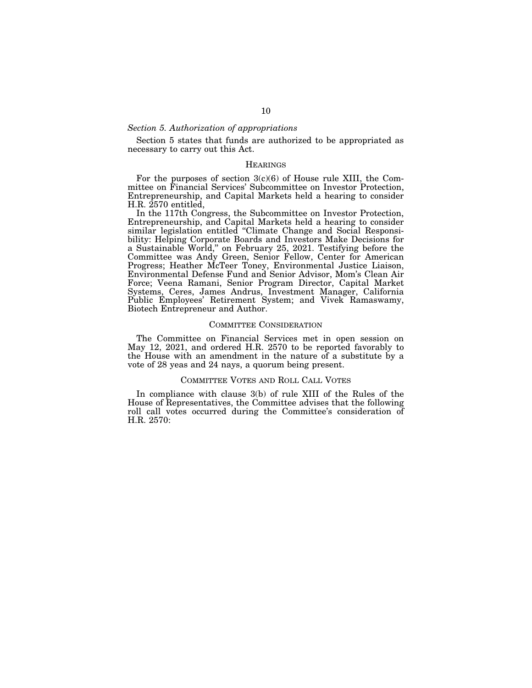### *Section 5. Authorization of appropriations*

Section 5 states that funds are authorized to be appropriated as necessary to carry out this Act.

#### **HEARINGS**

For the purposes of section 3(c)(6) of House rule XIII, the Committee on Financial Services' Subcommittee on Investor Protection, Entrepreneurship, and Capital Markets held a hearing to consider H.R. 2570 entitled,

In the 117th Congress, the Subcommittee on Investor Protection, Entrepreneurship, and Capital Markets held a hearing to consider similar legislation entitled ''Climate Change and Social Responsibility: Helping Corporate Boards and Investors Make Decisions for a Sustainable World,'' on February 25, 2021. Testifying before the Committee was Andy Green, Senior Fellow, Center for American Progress; Heather McTeer Toney, Environmental Justice Liaison, Environmental Defense Fund and Senior Advisor, Mom's Clean Air Force; Veena Ramani, Senior Program Director, Capital Market Systems, Ceres, James Andrus, Investment Manager, California Public Employees' Retirement System; and Vivek Ramaswamy, Biotech Entrepreneur and Author.

### COMMITTEE CONSIDERATION

The Committee on Financial Services met in open session on May 12, 2021, and ordered H.R. 2570 to be reported favorably to the House with an amendment in the nature of a substitute by a vote of 28 yeas and 24 nays, a quorum being present.

#### COMMITTEE VOTES AND ROLL CALL VOTES

In compliance with clause 3(b) of rule XIII of the Rules of the House of Representatives, the Committee advises that the following roll call votes occurred during the Committee's consideration of H.R. 2570: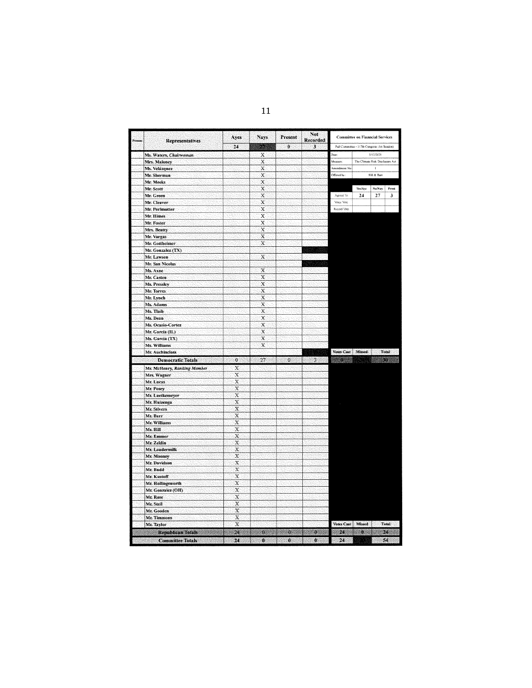| Present | <b>Representatives</b>       | Ayes     | Nays   | Present     | Not<br>Recorded | <b>Committee on Financial Services</b> |                                               |              |          |
|---------|------------------------------|----------|--------|-------------|-----------------|----------------------------------------|-----------------------------------------------|--------------|----------|
|         |                              | 24       | i.     | Ŷ.          | 3.              |                                        | Full Committee - 117th Congress (1st Session) |              |          |
|         | Ms. Waters, Chairwoman       |          | Х      |             |                 | Date:                                  |                                               | 5/12/2021    |          |
|         | Mrs. Maloney                 |          | X      |             |                 | Measure:                               | The Climate Risk Disclosure Act               |              |          |
|         | Ms. Velázquez                |          | Χ      |             |                 | Amendment No:                          |                                               | $\mathbf{1}$ |          |
|         | Mr. Sherman                  |          | X      |             |                 | Offered by:                            |                                               | Hill & Barr  |          |
|         | Mr. Meeks                    |          | X      |             |                 |                                        |                                               |              |          |
|         | Mr. Scott                    |          | Х      |             |                 |                                        | Yes/Ayc                                       | Nu/Nay       | Prsnt    |
|         | Mr. Green                    |          | Χ      |             |                 | Agreed To                              | 24                                            | 27           | 3        |
|         | Mr. Cleaver                  |          | X      |             |                 | Voice Vote                             |                                               |              |          |
|         | Mr. Perimutter               |          | X      |             |                 | Record Vote                            |                                               |              |          |
|         | Mr. Himes                    |          | X      |             |                 |                                        |                                               |              |          |
|         | Mr. Foster                   |          | X<br>X |             |                 |                                        |                                               |              |          |
|         | Mrs. Beatty                  |          | X      |             |                 |                                        |                                               |              |          |
|         | Mr. Vargas<br>Mr. Gottheimer |          | X      |             |                 |                                        |                                               |              |          |
|         | Mr. Gonzalez (TX)            |          |        |             |                 |                                        |                                               |              |          |
|         | Mr. Lawson                   |          | Х      |             |                 |                                        |                                               |              |          |
|         | Mr. San Nicolas              |          |        |             |                 |                                        |                                               |              |          |
|         | Ms. Axne                     |          | X      |             |                 |                                        |                                               |              |          |
|         | Mr. Casten                   |          | Х      |             |                 |                                        |                                               |              |          |
|         | Ms. Pressley                 |          | X      |             |                 |                                        |                                               |              |          |
|         | Mr. Torres                   |          | X      |             |                 |                                        |                                               |              |          |
|         | Mr. Lynch                    |          | X      |             |                 |                                        |                                               |              |          |
|         | Ms. Adams                    |          | X      |             |                 |                                        |                                               |              |          |
|         | Ms. Tlaib                    |          | х      |             |                 |                                        |                                               |              |          |
|         | Ms. Dean                     |          | X      |             |                 |                                        |                                               |              |          |
|         | Ms. Ocasio-Cortez            |          | х      |             |                 |                                        |                                               |              |          |
|         | Mr. Garcia (IL)              |          | Χ      |             |                 |                                        |                                               |              |          |
|         | Ms. Garcia (TX)              |          | X      |             |                 |                                        |                                               |              |          |
|         | Ms. Williams                 |          | X      |             |                 |                                        |                                               |              |          |
|         | Mr. Auchincloss              |          |        |             |                 | Votes Cast   Missed                    |                                               |              | Total    |
|         | <b>Democratic Totals</b>     | $\sigma$ | 27     | $\mathbf 0$ | 3.              | $\sim 0$                               |                                               |              | зģ       |
|         | Mr. McHenry, Ranking Member  | X        |        |             |                 |                                        |                                               |              |          |
|         | Mrs. Wagner                  | X        |        |             |                 |                                        |                                               |              |          |
|         | Mr. Lucas                    | X        |        |             |                 |                                        |                                               |              |          |
|         | Mr. Posey                    | Х        |        |             |                 |                                        |                                               |              |          |
|         | Mr. Luetkemeyer              | X        |        |             |                 |                                        |                                               |              |          |
|         | Mr. Huizenga                 | X        |        |             |                 |                                        |                                               |              |          |
|         | Mr. Stivers                  | X        |        |             |                 |                                        |                                               |              |          |
|         | Mr. Barr                     | X        |        |             |                 |                                        |                                               |              |          |
|         | Mr. Williams                 | X        |        |             |                 |                                        |                                               |              |          |
|         | Mr. Hill                     | X<br>X   |        |             |                 |                                        |                                               |              |          |
|         | Mr. Emmer<br>Mr. Zeldin      | X        |        |             |                 |                                        |                                               |              |          |
|         | Mr. Loudermilk               | Х        |        |             |                 |                                        |                                               |              |          |
|         | Mr. Mooney                   | X        |        |             |                 |                                        |                                               |              |          |
|         | Mr. Davidson                 | X        |        |             |                 |                                        |                                               |              |          |
|         | Mr. Budd                     | X        |        |             |                 |                                        |                                               |              |          |
|         | Mr. Kustoff                  | x        |        |             |                 |                                        |                                               |              |          |
|         | Mr. Hollingsworth            | Х        |        |             |                 |                                        |                                               |              |          |
|         | Mr. Gonzalez (OH)            | X        |        |             |                 |                                        |                                               |              |          |
|         | Mr. Rose                     | X        |        |             |                 |                                        |                                               |              |          |
|         | Mr. Steil                    | X        |        |             |                 |                                        |                                               |              |          |
|         | Mr. Gooden                   | X        |        |             |                 |                                        |                                               |              |          |
|         | Mr. Timmons                  | Χ        |        |             |                 |                                        |                                               |              |          |
|         | Mr. Taylor                   | X        |        |             |                 | Votes Cast   Missed                    |                                               |              | Total    |
|         | <b>Republican Totals</b>     | 24       | ŋ.     | LÁ.         | $\Omega$        | 24                                     | đ.                                            |              | $\sim 1$ |
|         | <b>Committee Totals</b>      | 24       | e.     | 0           | ď               | 24                                     |                                               |              | 54       |
|         |                              |          |        |             |                 |                                        |                                               |              |          |

11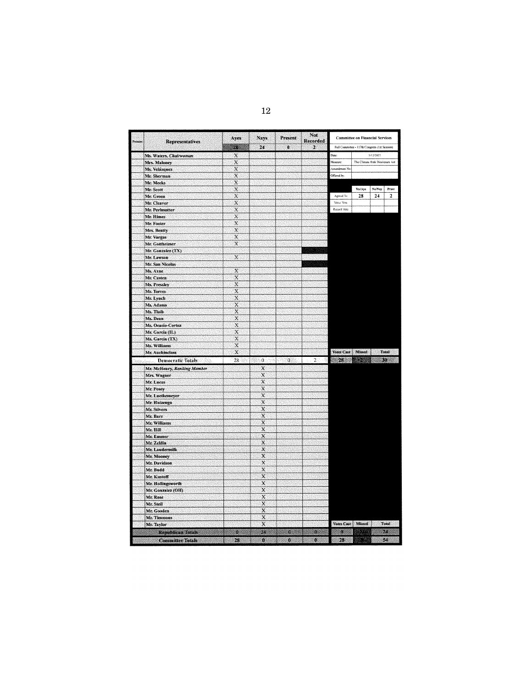| Present | <b>Representatives</b>      | Aves                    | Nays            | Present          | Not<br>Recorded |                     | <b>Committee on Financial Services</b>        |           |                 |
|---------|-----------------------------|-------------------------|-----------------|------------------|-----------------|---------------------|-----------------------------------------------|-----------|-----------------|
|         |                             | $\mathbf{X}$            | 24              | ġ.               | 2               |                     | Full Committee - 117th Congress (1st Session) |           |                 |
|         | Ms. Waters, Chairwoman      | X                       |                 |                  |                 | Date:               |                                               | 5/12/2021 |                 |
|         | Mrs. Maloney                | X                       |                 |                  |                 | Measure:            | The Climate Risk Disclosure Act               |           |                 |
|         | Ms. Velázquez               | X                       |                 |                  |                 | Amendment No.       |                                               |           |                 |
|         | Mr. Sherman                 | $\mathbf{x}$            |                 |                  |                 | Offered by          |                                               |           |                 |
|         | Mr. Meeks                   | X<br>X                  |                 |                  |                 |                     | Yes/Aye                                       | No/Nay    | Prsnt           |
|         | Mr. Scott<br>Mr. Green      | X                       |                 |                  |                 | Agreed To           | 28                                            | 24        | 2               |
|         | Mr. Cleaver                 | X                       |                 |                  |                 | Voice Vete          |                                               |           |                 |
|         | Mr. Perimutter              | x                       |                 |                  |                 | Record Vote         |                                               |           |                 |
|         | Mr. Himes                   | X                       |                 |                  |                 |                     |                                               |           |                 |
|         | Mr. Foster                  | X                       |                 |                  |                 |                     |                                               |           |                 |
|         | Mrs. Beatty                 | X                       |                 |                  |                 |                     |                                               |           |                 |
|         | Mr. Vargas                  | X                       |                 |                  |                 |                     |                                               |           |                 |
|         | Mr. Gottheimer              | X                       |                 |                  |                 |                     |                                               |           |                 |
|         | Mr. Gonzalez (TX)           |                         |                 |                  |                 |                     |                                               |           |                 |
|         | Mr. Lawson                  | X                       |                 |                  |                 |                     |                                               |           |                 |
|         | Mr. San Nicolas             |                         |                 |                  |                 |                     |                                               |           |                 |
|         | Ms. Axne                    | $\overline{\mathbf{x}}$ |                 |                  |                 |                     |                                               |           |                 |
|         | Mr. Casten                  | X                       |                 |                  |                 |                     |                                               |           |                 |
|         | Ms. Pressley                | X<br>X                  |                 |                  |                 |                     |                                               |           |                 |
|         | Mr. Torres<br>Mr. Lynch     | X                       |                 |                  |                 |                     |                                               |           |                 |
|         | Ms. Adams                   | X                       |                 |                  |                 |                     |                                               |           |                 |
|         | Ms. Tlaib                   | X                       |                 |                  |                 |                     |                                               |           |                 |
|         | Ms. Dean                    | X                       |                 |                  |                 |                     |                                               |           |                 |
|         | Ms. Ocasio-Cortez           | $\bar{X}$               |                 |                  |                 |                     |                                               |           |                 |
|         | Mr. Garcia (IL)             | X                       |                 |                  |                 |                     |                                               |           |                 |
|         | Ms. Garcia (TX)             | X                       |                 |                  |                 |                     |                                               |           |                 |
|         | Ms. Williams                | X                       |                 |                  |                 |                     |                                               |           |                 |
|         | Mr. Auchincloss             | X                       |                 |                  |                 | Votes Cast   Missed |                                               |           | Total           |
|         | <b>Democratic Totals</b>    | 28                      | $\theta$        | $\boldsymbol{0}$ | $\overline{2}$  | $28 -$              |                                               |           | 30 <sup>1</sup> |
|         | Mr. McHenry, Ranking Member |                         | X               |                  |                 |                     |                                               |           |                 |
|         | Mrs. Wagner                 |                         | X               |                  |                 |                     |                                               |           |                 |
|         | Mr. Lucas                   |                         | x               |                  |                 |                     |                                               |           |                 |
|         | Mr. Posey                   |                         | х               |                  |                 |                     |                                               |           |                 |
|         | Mr. Luetkemeyer             |                         | X               |                  |                 |                     |                                               |           |                 |
|         | Mr. Huizenga                |                         | X               |                  |                 |                     |                                               |           |                 |
|         | Mr. Stivers                 |                         | x               |                  |                 |                     |                                               |           |                 |
|         | Mr. Barr                    |                         | X<br>X          |                  |                 |                     |                                               |           |                 |
|         | Mr. Williams<br>Mr. Hill    |                         | X               |                  |                 |                     |                                               |           |                 |
|         | Mr. Emmer                   |                         | X               |                  |                 |                     |                                               |           |                 |
|         | Mr. Zeldin                  |                         | Χ               |                  |                 |                     |                                               |           |                 |
|         | Mr. Loudermilk              |                         | X               |                  |                 |                     |                                               |           |                 |
|         | Mr. Mooney                  |                         | X               |                  |                 |                     |                                               |           |                 |
|         | Mr. Davidson                |                         | X               |                  |                 |                     |                                               |           |                 |
|         | Mr. Budd                    |                         | X               |                  |                 |                     |                                               |           |                 |
|         | Mr. Kustoff                 |                         | Χ               |                  |                 |                     |                                               |           |                 |
|         | Mr. Hollingsworth           |                         | X               |                  |                 |                     |                                               |           |                 |
|         | Mr. Gonzalez (OH)           |                         | X               |                  |                 |                     |                                               |           |                 |
|         | Mr. Rose                    |                         | X               |                  |                 |                     |                                               |           |                 |
|         | Mr. Steil                   |                         | x               |                  |                 |                     |                                               |           |                 |
|         | Mr. Gooden<br>Mr. Timmons   |                         | x<br>X          |                  |                 |                     |                                               |           |                 |
|         | Mr. Taylor                  |                         | X               |                  |                 | Votes Cast   Missed |                                               |           | Total           |
|         |                             | ă.                      | 24 <sup>°</sup> | $\mathbb{C}$     | C.              | D                   |                                               |           | 24              |
|         | <b>Republican Totals</b>    |                         |                 |                  |                 |                     |                                               |           |                 |
|         | <b>Committee Totals</b>     | 28                      | a               | a                | ŋ,              | 28                  |                                               |           | S.              |

12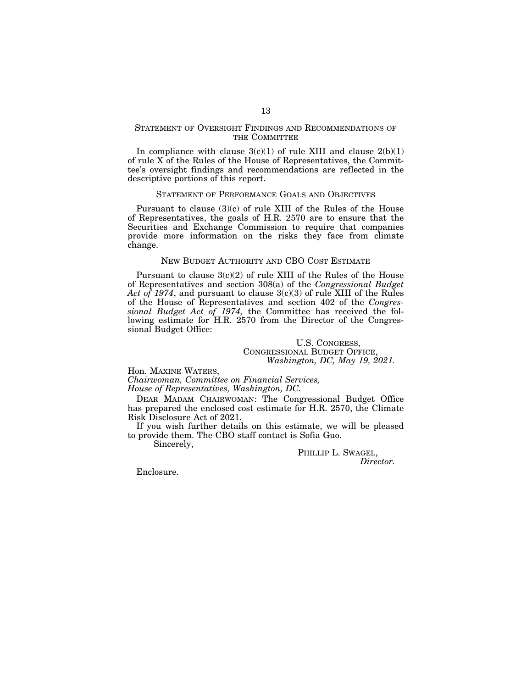### STATEMENT OF OVERSIGHT FINDINGS AND RECOMMENDATIONS OF THE COMMITTEE

In compliance with clause  $3(c)(1)$  of rule XIII and clause  $2(b)(1)$ of rule X of the Rules of the House of Representatives, the Committee's oversight findings and recommendations are reflected in the descriptive portions of this report.

### STATEMENT OF PERFORMANCE GOALS AND OBJECTIVES

Pursuant to clause  $(3)(c)$  of rule XIII of the Rules of the House of Representatives, the goals of H.R. 2570 are to ensure that the Securities and Exchange Commission to require that companies provide more information on the risks they face from climate change.

### NEW BUDGET AUTHORITY AND CBO COST ESTIMATE

Pursuant to clause 3(c)(2) of rule XIII of the Rules of the House of Representatives and section 308(a) of the *Congressional Budget Act of 1974*, and pursuant to clause 3(c)(3) of rule XIII of the Rules of the House of Representatives and section 402 of the *Congressional Budget Act of 1974,* the Committee has received the following estimate for H.R. 2570 from the Director of the Congressional Budget Office:

> U.S. CONGRESS, CONGRESSIONAL BUDGET OFFICE, *Washington, DC, May 19, 2021.*

Hon. MAXINE WATERS,

*Chairwoman, Committee on Financial Services, House of Representatives, Washington, DC.* 

DEAR MADAM CHAIRWOMAN: The Congressional Budget Office has prepared the enclosed cost estimate for H.R. 2570, the Climate Risk Disclosure Act of 2021.

If you wish further details on this estimate, we will be pleased to provide them. The CBO staff contact is Sofia Guo.

Sincerely,

PHILLIP L. SWAGEL,

*Director.* 

Enclosure.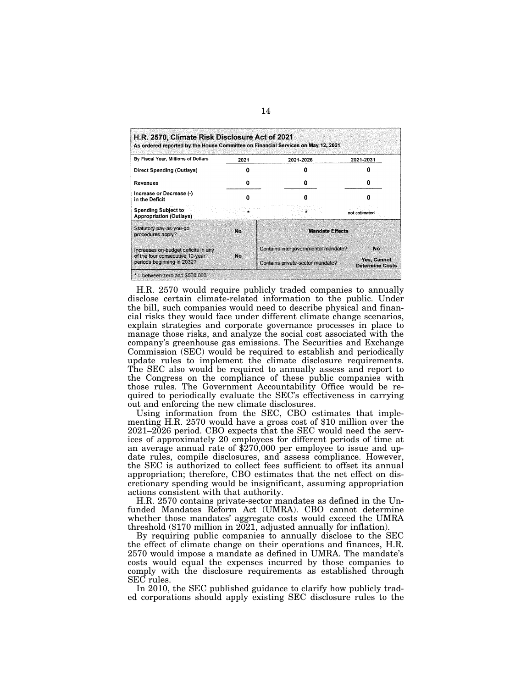| By Fiscal Year, Millions of Dollars                           | 2021 | 2021-2026                           | 2021-2031                             |  |  |
|---------------------------------------------------------------|------|-------------------------------------|---------------------------------------|--|--|
| Direct Spending (Outlays)                                     | Ω    |                                     |                                       |  |  |
| Revenues                                                      | n    | o                                   |                                       |  |  |
| Increase or Decrease (-)<br>in the Deficit                    |      |                                     |                                       |  |  |
| <b>Spending Subject to</b><br><b>Appropriation (Outlays)</b>  |      |                                     |                                       |  |  |
| Statutory pay-as-you-go<br>procedures apply?                  | No   | <b>Mandate Effects</b>              |                                       |  |  |
| Increases on-budget deficits in any                           |      | Contains intergovernmental mandate? |                                       |  |  |
| of the four consecutive 10-year<br>periods beginning in 2032? | No   | Contains private-sector mandate?    | Yes, Cannot<br><b>Determine Costs</b> |  |  |

H.R. 2570 would require publicly traded companies to annually disclose certain climate-related information to the public. Under the bill, such companies would need to describe physical and financial risks they would face under different climate change scenarios, explain strategies and corporate governance processes in place to manage those risks, and analyze the social cost associated with the company's greenhouse gas emissions. The Securities and Exchange Commission (SEC) would be required to establish and periodically update rules to implement the climate disclosure requirements. The SEC also would be required to annually assess and report to the Congress on the compliance of these public companies with those rules. The Government Accountability Office would be required to periodically evaluate the SEC's effectiveness in carrying out and enforcing the new climate disclosures.

Using information from the SEC, CBO estimates that implementing H.R. 2570 would have a gross cost of \$10 million over the 2021–2026 period. CBO expects that the SEC would need the services of approximately 20 employees for different periods of time at an average annual rate of \$270,000 per employee to issue and update rules, compile disclosures, and assess compliance. However, the SEC is authorized to collect fees sufficient to offset its annual appropriation; therefore, CBO estimates that the net effect on discretionary spending would be insignificant, assuming appropriation actions consistent with that authority.

H.R. 2570 contains private-sector mandates as defined in the Unfunded Mandates Reform Act (UMRA). CBO cannot determine whether those mandates' aggregate costs would exceed the UMRA threshold (\$170 million in 2021, adjusted annually for inflation).

By requiring public companies to annually disclose to the SEC the effect of climate change on their operations and finances, H.R. 2570 would impose a mandate as defined in UMRA. The mandate's costs would equal the expenses incurred by those companies to comply with the disclosure requirements as established through SEC rules.

In 2010, the SEC published guidance to clarify how publicly traded corporations should apply existing SEC disclosure rules to the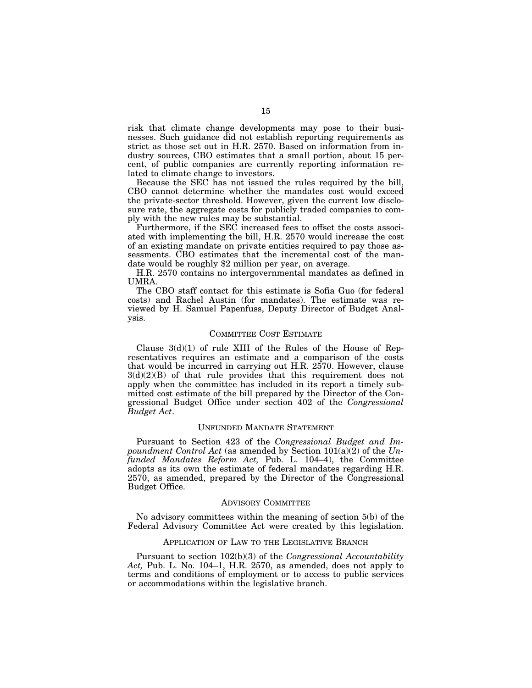risk that climate change developments may pose to their businesses. Such guidance did not establish reporting requirements as strict as those set out in H.R. 2570. Based on information from industry sources, CBO estimates that a small portion, about 15 percent, of public companies are currently reporting information related to climate change to investors.

Because the SEC has not issued the rules required by the bill, CBO cannot determine whether the mandates cost would exceed the private-sector threshold. However, given the current low disclosure rate, the aggregate costs for publicly traded companies to comply with the new rules may be substantial.

Furthermore, if the SEC increased fees to offset the costs associated with implementing the bill, H.R. 2570 would increase the cost of an existing mandate on private entities required to pay those assessments. CBO estimates that the incremental cost of the mandate would be roughly \$2 million per year, on average.

H.R. 2570 contains no intergovernmental mandates as defined in UMRA.

The CBO staff contact for this estimate is Sofia Guo (for federal costs) and Rachel Austin (for mandates). The estimate was reviewed by H. Samuel Papenfuss, Deputy Director of Budget Analysis.

#### COMMITTEE COST ESTIMATE

Clause  $3(d)(1)$  of rule XIII of the Rules of the House of Representatives requires an estimate and a comparison of the costs that would be incurred in carrying out H.R. 2570. However, clause  $3(d)(2)(B)$  of that rule provides that this requirement does not apply when the committee has included in its report a timely submitted cost estimate of the bill prepared by the Director of the Congressional Budget Office under section 402 of the *Congressional Budget Act*.

## UNFUNDED MANDATE STATEMENT

Pursuant to Section 423 of the *Congressional Budget and Impoundment Control Act* (as amended by Section 101(a)(2) of the *Unfunded Mandates Reform Act,* Pub. L. 104–4), the Committee adopts as its own the estimate of federal mandates regarding H.R. 2570, as amended, prepared by the Director of the Congressional Budget Office.

### ADVISORY COMMITTEE

No advisory committees within the meaning of section 5(b) of the Federal Advisory Committee Act were created by this legislation.

#### APPLICATION OF LAW TO THE LEGISLATIVE BRANCH

Pursuant to section 102(b)(3) of the *Congressional Accountability Act,* Pub. L. No. 104–1, H.R. 2570, as amended, does not apply to terms and conditions of employment or to access to public services or accommodations within the legislative branch.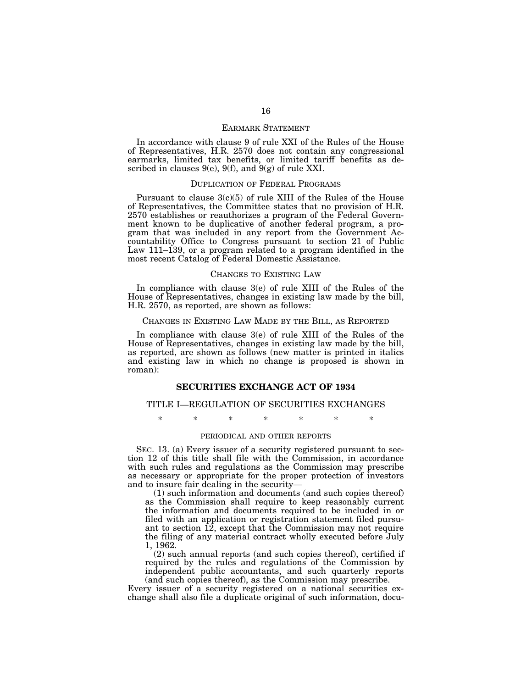#### EARMARK STATEMENT

In accordance with clause 9 of rule XXI of the Rules of the House of Representatives, H.R. 2570 does not contain any congressional earmarks, limited tax benefits, or limited tariff benefits as described in clauses  $9(e)$ ,  $9(f)$ , and  $9(g)$  of rule XXI.

### DUPLICATION OF FEDERAL PROGRAMS

Pursuant to clause  $3(c)(5)$  of rule XIII of the Rules of the House of Representatives, the Committee states that no provision of H.R. 2570 establishes or reauthorizes a program of the Federal Government known to be duplicative of another federal program, a program that was included in any report from the Government Accountability Office to Congress pursuant to section 21 of Public Law 111–139, or a program related to a program identified in the most recent Catalog of Federal Domestic Assistance.

### CHANGES TO EXISTING LAW

In compliance with clause 3(e) of rule XIII of the Rules of the House of Representatives, changes in existing law made by the bill, H.R. 2570, as reported, are shown as follows:

### CHANGES IN EXISTING LAW MADE BY THE BILL, AS REPORTED

In compliance with clause 3(e) of rule XIII of the Rules of the House of Representatives, changes in existing law made by the bill, as reported, are shown as follows (new matter is printed in italics and existing law in which no change is proposed is shown in roman):

### **SECURITIES EXCHANGE ACT OF 1934**

### TITLE I—REGULATION OF SECURITIES EXCHANGES

\* \* \* \* \* \* \*

### PERIODICAL AND OTHER REPORTS

SEC. 13. (a) Every issuer of a security registered pursuant to section 12 of this title shall file with the Commission, in accordance with such rules and regulations as the Commission may prescribe as necessary or appropriate for the proper protection of investors and to insure fair dealing in the security—

(1) such information and documents (and such copies thereof) as the Commission shall require to keep reasonably current the information and documents required to be included in or filed with an application or registration statement filed pursuant to section 12, except that the Commission may not require the filing of any material contract wholly executed before July 1, 1962.

(2) such annual reports (and such copies thereof), certified if required by the rules and regulations of the Commission by independent public accountants, and such quarterly reports (and such copies thereof), as the Commission may prescribe.

Every issuer of a security registered on a national securities exchange shall also file a duplicate original of such information, docu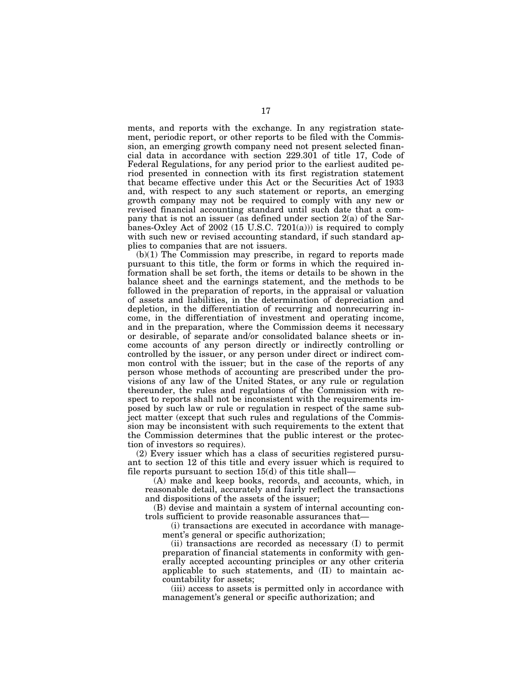ments, and reports with the exchange. In any registration statement, periodic report, or other reports to be filed with the Commission, an emerging growth company need not present selected financial data in accordance with section 229.301 of title 17, Code of Federal Regulations, for any period prior to the earliest audited period presented in connection with its first registration statement that became effective under this Act or the Securities Act of 1933 and, with respect to any such statement or reports, an emerging growth company may not be required to comply with any new or revised financial accounting standard until such date that a company that is not an issuer (as defined under section 2(a) of the Sarbanes-Oxley Act of  $2002$  (15 U.S.C.  $7201(a)$ )) is required to comply with such new or revised accounting standard, if such standard applies to companies that are not issuers.

(b)(1) The Commission may prescribe, in regard to reports made pursuant to this title, the form or forms in which the required information shall be set forth, the items or details to be shown in the balance sheet and the earnings statement, and the methods to be followed in the preparation of reports, in the appraisal or valuation of assets and liabilities, in the determination of depreciation and depletion, in the differentiation of recurring and nonrecurring income, in the differentiation of investment and operating income, and in the preparation, where the Commission deems it necessary or desirable, of separate and/or consolidated balance sheets or income accounts of any person directly or indirectly controlling or controlled by the issuer, or any person under direct or indirect common control with the issuer; but in the case of the reports of any person whose methods of accounting are prescribed under the provisions of any law of the United States, or any rule or regulation thereunder, the rules and regulations of the Commission with respect to reports shall not be inconsistent with the requirements imposed by such law or rule or regulation in respect of the same subject matter (except that such rules and regulations of the Commission may be inconsistent with such requirements to the extent that the Commission determines that the public interest or the protection of investors so requires).

(2) Every issuer which has a class of securities registered pursuant to section 12 of this title and every issuer which is required to file reports pursuant to section 15(d) of this title shall—

(A) make and keep books, records, and accounts, which, in reasonable detail, accurately and fairly reflect the transactions and dispositions of the assets of the issuer;

(B) devise and maintain a system of internal accounting controls sufficient to provide reasonable assurances that—

(i) transactions are executed in accordance with management's general or specific authorization;

(ii) transactions are recorded as necessary (I) to permit preparation of financial statements in conformity with generally accepted accounting principles or any other criteria applicable to such statements, and (II) to maintain accountability for assets;

(iii) access to assets is permitted only in accordance with management's general or specific authorization; and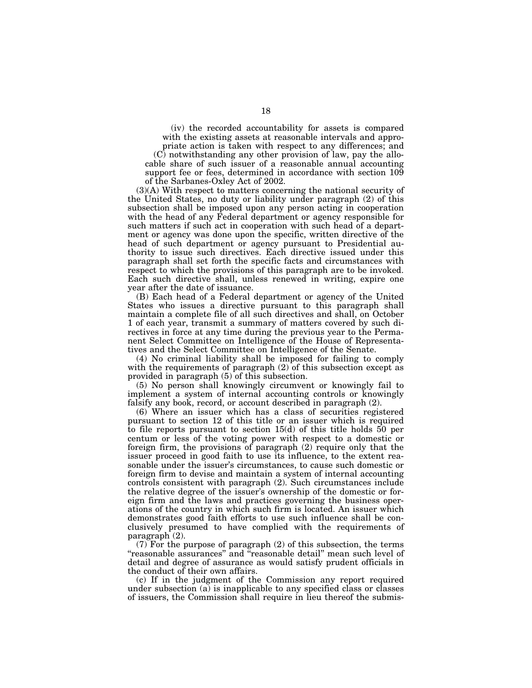(iv) the recorded accountability for assets is compared with the existing assets at reasonable intervals and appro-

priate action is taken with respect to any differences; and (C) notwithstanding any other provision of law, pay the allocable share of such issuer of a reasonable annual accounting support fee or fees, determined in accordance with section  $109$ of the Sarbanes-Oxley Act of 2002.

(3)(A) With respect to matters concerning the national security of the United States, no duty or liability under paragraph (2) of this subsection shall be imposed upon any person acting in cooperation with the head of any Federal department or agency responsible for such matters if such act in cooperation with such head of a department or agency was done upon the specific, written directive of the head of such department or agency pursuant to Presidential authority to issue such directives. Each directive issued under this paragraph shall set forth the specific facts and circumstances with respect to which the provisions of this paragraph are to be invoked. Each such directive shall, unless renewed in writing, expire one year after the date of issuance.

(B) Each head of a Federal department or agency of the United States who issues a directive pursuant to this paragraph shall maintain a complete file of all such directives and shall, on October 1 of each year, transmit a summary of matters covered by such directives in force at any time during the previous year to the Permanent Select Committee on Intelligence of the House of Representatives and the Select Committee on Intelligence of the Senate.

(4) No criminal liability shall be imposed for failing to comply with the requirements of paragraph (2) of this subsection except as provided in paragraph (5) of this subsection.

(5) No person shall knowingly circumvent or knowingly fail to implement a system of internal accounting controls or knowingly falsify any book, record, or account described in paragraph (2).

(6) Where an issuer which has a class of securities registered pursuant to section 12 of this title or an issuer which is required to file reports pursuant to section 15(d) of this title holds 50 per centum or less of the voting power with respect to a domestic or foreign firm, the provisions of paragraph (2) require only that the issuer proceed in good faith to use its influence, to the extent reasonable under the issuer's circumstances, to cause such domestic or foreign firm to devise and maintain a system of internal accounting controls consistent with paragraph (2). Such circumstances include the relative degree of the issuer's ownership of the domestic or foreign firm and the laws and practices governing the business operations of the country in which such firm is located. An issuer which demonstrates good faith efforts to use such influence shall be conclusively presumed to have complied with the requirements of paragraph (2).

(7) For the purpose of paragraph (2) of this subsection, the terms "reasonable assurances" and "reasonable detail" mean such level of detail and degree of assurance as would satisfy prudent officials in the conduct of their own affairs.

(c) If in the judgment of the Commission any report required under subsection (a) is inapplicable to any specified class or classes of issuers, the Commission shall require in lieu thereof the submis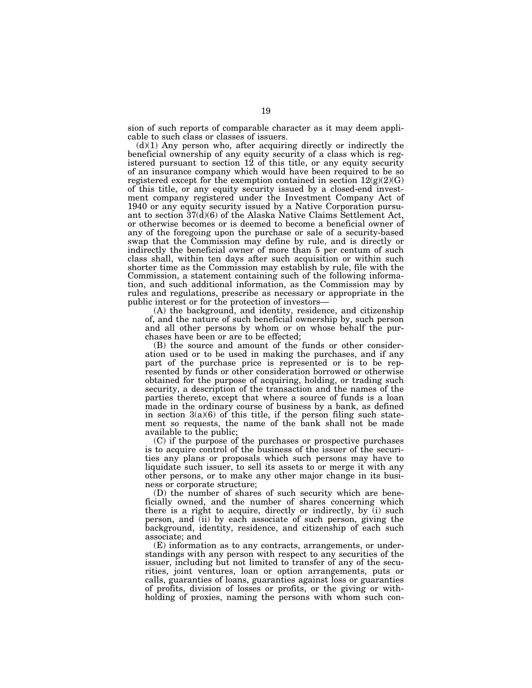sion of such reports of comparable character as it may deem applicable to such class or classes of issuers.

 $(d)(1)$  Any person who, after acquiring directly or indirectly the beneficial ownership of any equity security of a class which is registered pursuant to section 12 of this title, or any equity security of an insurance company which would have been required to be so registered except for the exemption contained in section  $12(g)(2)(G)$ of this title, or any equity security issued by a closed-end investment company registered under the Investment Company Act of 1940 or any equity security issued by a Native Corporation pursuant to section 37(d)(6) of the Alaska Native Claims Settlement Act, or otherwise becomes or is deemed to become a beneficial owner of any of the foregoing upon the purchase or sale of a security-based swap that the Commission may define by rule, and is directly or indirectly the beneficial owner of more than 5 per centum of such class shall, within ten days after such acquisition or within such shorter time as the Commission may establish by rule, file with the Commission, a statement containing such of the following information, and such additional information, as the Commission may by rules and regulations, prescribe as necessary or appropriate in the public interest or for the protection of investors—

(A) the background, and identity, residence, and citizenship of, and the nature of such beneficial ownership by, such person and all other persons by whom or on whose behalf the purchases have been or are to be effected;

(B) the source and amount of the funds or other consideration used or to be used in making the purchases, and if any part of the purchase price is represented or is to be represented by funds or other consideration borrowed or otherwise obtained for the purpose of acquiring, holding, or trading such security, a description of the transaction and the names of the parties thereto, except that where a source of funds is a loan made in the ordinary course of business by a bank, as defined in section  $3(a)(6)$  of this title, if the person filing such statement so requests, the name of the bank shall not be made available to the public;

(C) if the purpose of the purchases or prospective purchases is to acquire control of the business of the issuer of the securities any plans or proposals which such persons may have to liquidate such issuer, to sell its assets to or merge it with any other persons, or to make any other major change in its business or corporate structure;

(D) the number of shares of such security which are beneficially owned, and the number of shares concerning which there is a right to acquire, directly or indirectly, by (i) such person, and (ii) by each associate of such person, giving the background, identity, residence, and citizenship of each such associate; and

(E) information as to any contracts, arrangements, or understandings with any person with respect to any securities of the issuer, including but not limited to transfer of any of the securities, joint ventures, loan or option arrangements, puts or calls, guaranties of loans, guaranties against loss or guaranties of profits, division of losses or profits, or the giving or withholding of proxies, naming the persons with whom such con-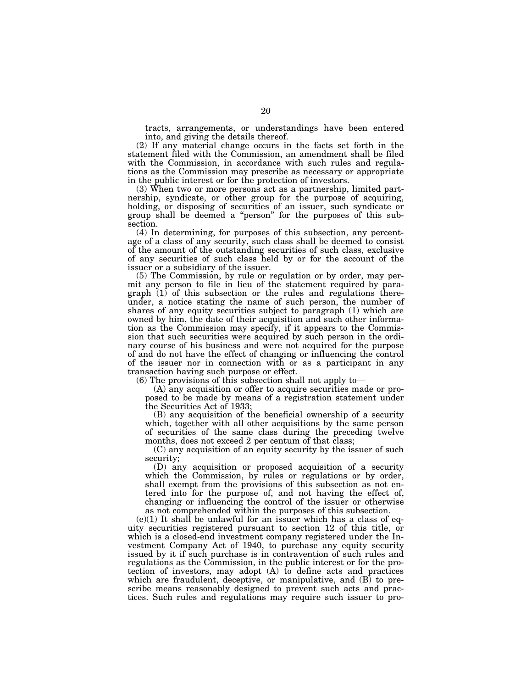tracts, arrangements, or understandings have been entered into, and giving the details thereof.

(2) If any material change occurs in the facts set forth in the statement filed with the Commission, an amendment shall be filed with the Commission, in accordance with such rules and regulations as the Commission may prescribe as necessary or appropriate in the public interest or for the protection of investors.

(3) When two or more persons act as a partnership, limited partnership, syndicate, or other group for the purpose of acquiring, holding, or disposing of securities of an issuer, such syndicate or group shall be deemed a ''person'' for the purposes of this subsection.

(4) In determining, for purposes of this subsection, any percentage of a class of any security, such class shall be deemed to consist of the amount of the outstanding securities of such class, exclusive of any securities of such class held by or for the account of the issuer or a subsidiary of the issuer.

(5) The Commission, by rule or regulation or by order, may permit any person to file in lieu of the statement required by paragraph (1) of this subsection or the rules and regulations thereunder, a notice stating the name of such person, the number of shares of any equity securities subject to paragraph (1) which are owned by him, the date of their acquisition and such other information as the Commission may specify, if it appears to the Commission that such securities were acquired by such person in the ordinary course of his business and were not acquired for the purpose of and do not have the effect of changing or influencing the control of the issuer nor in connection with or as a participant in any transaction having such purpose or effect.

(6) The provisions of this subsection shall not apply to—

(A) any acquisition or offer to acquire securities made or proposed to be made by means of a registration statement under the Securities Act of 1933;

(B) any acquisition of the beneficial ownership of a security which, together with all other acquisitions by the same person of securities of the same class during the preceding twelve months, does not exceed 2 per centum of that class;

(C) any acquisition of an equity security by the issuer of such security;

(D) any acquisition or proposed acquisition of a security which the Commission, by rules or regulations or by order, shall exempt from the provisions of this subsection as not entered into for the purpose of, and not having the effect of, changing or influencing the control of the issuer or otherwise as not comprehended within the purposes of this subsection.

 $(e)(1)$  It shall be unlawful for an issuer which has a class of equity securities registered pursuant to section 12 of this title, or which is a closed-end investment company registered under the Investment Company Act of 1940, to purchase any equity security issued by it if such purchase is in contravention of such rules and regulations as the Commission, in the public interest or for the protection of investors, may adopt (A) to define acts and practices which are fraudulent, deceptive, or manipulative, and (B) to prescribe means reasonably designed to prevent such acts and practices. Such rules and regulations may require such issuer to pro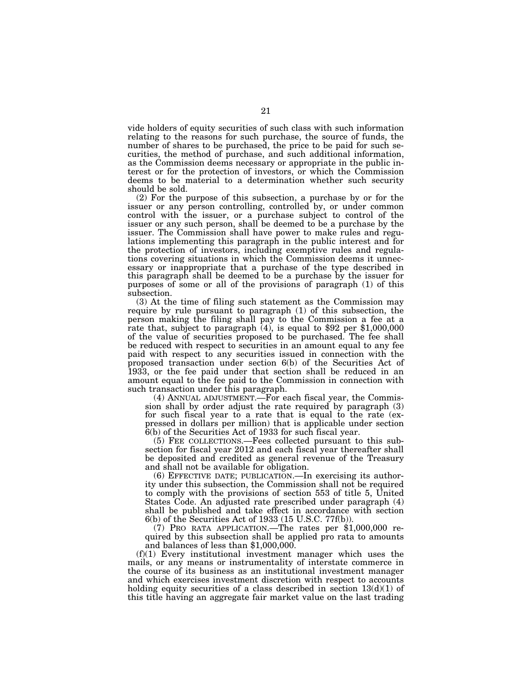vide holders of equity securities of such class with such information relating to the reasons for such purchase, the source of funds, the number of shares to be purchased, the price to be paid for such securities, the method of purchase, and such additional information, as the Commission deems necessary or appropriate in the public interest or for the protection of investors, or which the Commission deems to be material to a determination whether such security should be sold.

(2) For the purpose of this subsection, a purchase by or for the issuer or any person controlling, controlled by, or under common control with the issuer, or a purchase subject to control of the issuer or any such person, shall be deemed to be a purchase by the issuer. The Commission shall have power to make rules and regulations implementing this paragraph in the public interest and for the protection of investors, including exemptive rules and regulations covering situations in which the Commission deems it unnecessary or inappropriate that a purchase of the type described in this paragraph shall be deemed to be a purchase by the issuer for purposes of some or all of the provisions of paragraph (1) of this subsection.

(3) At the time of filing such statement as the Commission may require by rule pursuant to paragraph (1) of this subsection, the person making the filing shall pay to the Commission a fee at a rate that, subject to paragraph  $\overline{(4)}$ , is equal to \$92 per \$1,000,000 of the value of securities proposed to be purchased. The fee shall be reduced with respect to securities in an amount equal to any fee paid with respect to any securities issued in connection with the proposed transaction under section 6(b) of the Securities Act of 1933, or the fee paid under that section shall be reduced in an amount equal to the fee paid to the Commission in connection with such transaction under this paragraph.

(4) ANNUAL ADJUSTMENT.—For each fiscal year, the Commission shall by order adjust the rate required by paragraph (3) for such fiscal year to a rate that is equal to the rate (expressed in dollars per million) that is applicable under section 6(b) of the Securities Act of 1933 for such fiscal year.

(5) FEE COLLECTIONS.—Fees collected pursuant to this subsection for fiscal year 2012 and each fiscal year thereafter shall be deposited and credited as general revenue of the Treasury and shall not be available for obligation.

(6) EFFECTIVE DATE; PUBLICATION.—In exercising its authority under this subsection, the Commission shall not be required to comply with the provisions of section 553 of title 5, United States Code. An adjusted rate prescribed under paragraph (4) shall be published and take effect in accordance with section 6(b) of the Securities Act of 1933 (15 U.S.C. 77f(b)).

(7) PRO RATA APPLICATION.—The rates per \$1,000,000 required by this subsection shall be applied pro rata to amounts and balances of less than \$1,000,000.

(f)(1) Every institutional investment manager which uses the mails, or any means or instrumentality of interstate commerce in the course of its business as an institutional investment manager and which exercises investment discretion with respect to accounts holding equity securities of a class described in section  $13(d)(1)$  of this title having an aggregate fair market value on the last trading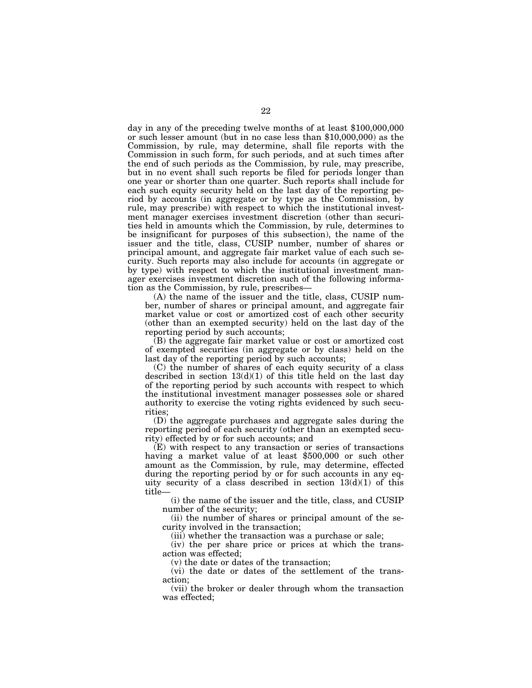day in any of the preceding twelve months of at least \$100,000,000 or such lesser amount (but in no case less than \$10,000,000) as the Commission, by rule, may determine, shall file reports with the Commission in such form, for such periods, and at such times after the end of such periods as the Commission, by rule, may prescribe, but in no event shall such reports be filed for periods longer than one year or shorter than one quarter. Such reports shall include for each such equity security held on the last day of the reporting period by accounts (in aggregate or by type as the Commission, by rule, may prescribe) with respect to which the institutional investment manager exercises investment discretion (other than securities held in amounts which the Commission, by rule, determines to be insignificant for purposes of this subsection), the name of the issuer and the title, class, CUSIP number, number of shares or principal amount, and aggregate fair market value of each such security. Such reports may also include for accounts (in aggregate or by type) with respect to which the institutional investment manager exercises investment discretion such of the following information as the Commission, by rule, prescribes—

(A) the name of the issuer and the title, class, CUSIP number, number of shares or principal amount, and aggregate fair market value or cost or amortized cost of each other security (other than an exempted security) held on the last day of the reporting period by such accounts;

(B) the aggregate fair market value or cost or amortized cost of exempted securities (in aggregate or by class) held on the last day of the reporting period by such accounts;

(C) the number of shares of each equity security of a class described in section 13(d)(1) of this title held on the last day of the reporting period by such accounts with respect to which the institutional investment manager possesses sole or shared authority to exercise the voting rights evidenced by such securities;

(D) the aggregate purchases and aggregate sales during the reporting period of each security (other than an exempted security) effected by or for such accounts; and

(E) with respect to any transaction or series of transactions having a market value of at least \$500,000 or such other amount as the Commission, by rule, may determine, effected during the reporting period by or for such accounts in any equity security of a class described in section  $13(d)(1)$  of this title—

(i) the name of the issuer and the title, class, and CUSIP number of the security;

(ii) the number of shares or principal amount of the security involved in the transaction;

(iii) whether the transaction was a purchase or sale;

(iv) the per share price or prices at which the transaction was effected;

(v) the date or dates of the transaction;

(vi) the date or dates of the settlement of the transaction;

(vii) the broker or dealer through whom the transaction was effected;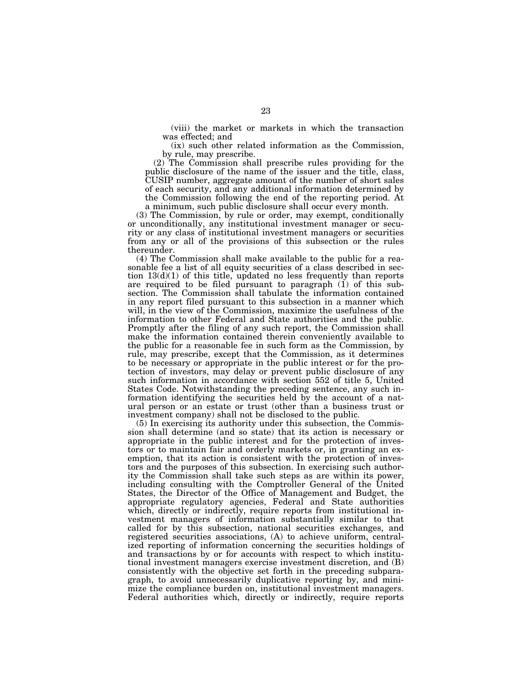(viii) the market or markets in which the transaction was effected; and

(ix) such other related information as the Commission, by rule, may prescribe.

(2) The Commission shall prescribe rules providing for the public disclosure of the name of the issuer and the title, class, CUSIP number, aggregate amount of the number of short sales of each security, and any additional information determined by the Commission following the end of the reporting period. At a minimum, such public disclosure shall occur every month.

(3) The Commission, by rule or order, may exempt, conditionally or unconditionally, any institutional investment manager or security or any class of institutional investment managers or securities from any or all of the provisions of this subsection or the rules thereunder.

(4) The Commission shall make available to the public for a reasonable fee a list of all equity securities of a class described in section 13(d)(1) of this title, updated no less frequently than reports are required to be filed pursuant to paragraph (1) of this subsection. The Commission shall tabulate the information contained in any report filed pursuant to this subsection in a manner which will, in the view of the Commission, maximize the usefulness of the information to other Federal and State authorities and the public. Promptly after the filing of any such report, the Commission shall make the information contained therein conveniently available to the public for a reasonable fee in such form as the Commission, by rule, may prescribe, except that the Commission, as it determines to be necessary or appropriate in the public interest or for the protection of investors, may delay or prevent public disclosure of any such information in accordance with section 552 of title 5, United States Code. Notwithstanding the preceding sentence, any such information identifying the securities held by the account of a natural person or an estate or trust (other than a business trust or investment company) shall not be disclosed to the public.

(5) In exercising its authority under this subsection, the Commission shall determine (and so state) that its action is necessary or appropriate in the public interest and for the protection of investors or to maintain fair and orderly markets or, in granting an exemption, that its action is consistent with the protection of investors and the purposes of this subsection. In exercising such authority the Commission shall take such steps as are within its power, including consulting with the Comptroller General of the United States, the Director of the Office of Management and Budget, the appropriate regulatory agencies, Federal and State authorities which, directly or indirectly, require reports from institutional investment managers of information substantially similar to that called for by this subsection, national securities exchanges, and registered securities associations, (A) to achieve uniform, centralized reporting of information concerning the securities holdings of and transactions by or for accounts with respect to which institutional investment managers exercise investment discretion, and (B) consistently with the objective set forth in the preceding subparagraph, to avoid unnecessarily duplicative reporting by, and minimize the compliance burden on, institutional investment managers. Federal authorities which, directly or indirectly, require reports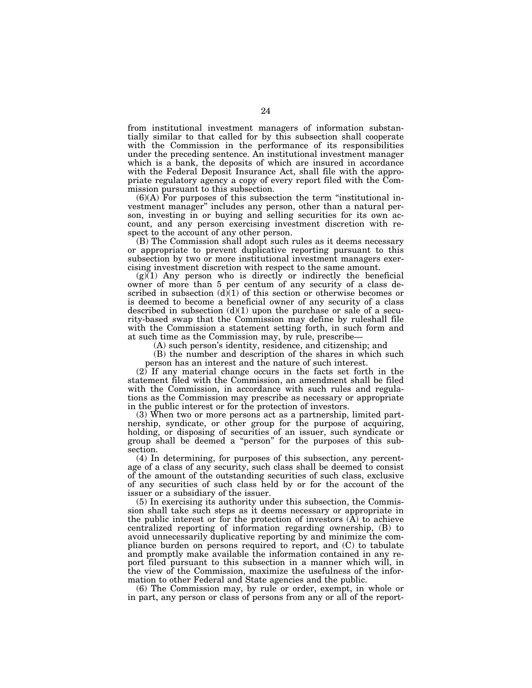from institutional investment managers of information substantially similar to that called for by this subsection shall cooperate with the Commission in the performance of its responsibilities under the preceding sentence. An institutional investment manager which is a bank, the deposits of which are insured in accordance with the Federal Deposit Insurance Act, shall file with the appropriate regulatory agency a copy of every report filed with the Commission pursuant to this subsection.

 $(6)(A)$  For purposes of this subsection the term "institutional investment manager'' includes any person, other than a natural person, investing in or buying and selling securities for its own account, and any person exercising investment discretion with respect to the account of any other person.

(B) The Commission shall adopt such rules as it deems necessary or appropriate to prevent duplicative reporting pursuant to this subsection by two or more institutional investment managers exercising investment discretion with respect to the same amount.

 $(g)(1)$  Any person who is directly or indirectly the beneficial owner of more than 5 per centum of any security of a class described in subsection  $(d)(1)$  of this section or otherwise becomes or is deemed to become a beneficial owner of any security of a class described in subsection (d)(1) upon the purchase or sale of a security-based swap that the Commission may define by ruleshall file with the Commission a statement setting forth, in such form and at such time as the Commission may, by rule, prescribe—

(A) such person's identity, residence, and citizenship; and

(B) the number and description of the shares in which such person has an interest and the nature of such interest.

 $(2)$  If any material change occurs in the facts set forth in the statement filed with the Commission, an amendment shall be filed with the Commission, in accordance with such rules and regulations as the Commission may prescribe as necessary or appropriate in the public interest or for the protection of investors.

(3) When two or more persons act as a partnership, limited partnership, syndicate, or other group for the purpose of acquiring, holding, or disposing of securities of an issuer, such syndicate or group shall be deemed a ''person'' for the purposes of this subsection.

(4) In determining, for purposes of this subsection, any percentage of a class of any security, such class shall be deemed to consist of the amount of the outstanding securities of such class, exclusive of any securities of such class held by or for the account of the issuer or a subsidiary of the issuer.

(5) In exercising its authority under this subsection, the Commission shall take such steps as it deems necessary or appropriate in the public interest or for the protection of investors (A) to achieve centralized reporting of information regarding ownership, (B) to avoid unnecessarily duplicative reporting by and minimize the compliance burden on persons required to report, and (C) to tabulate and promptly make available the information contained in any report filed pursuant to this subsection in a manner which will, in the view of the Commission, maximize the usefulness of the information to other Federal and State agencies and the public.

(6) The Commission may, by rule or order, exempt, in whole or in part, any person or class of persons from any or all of the report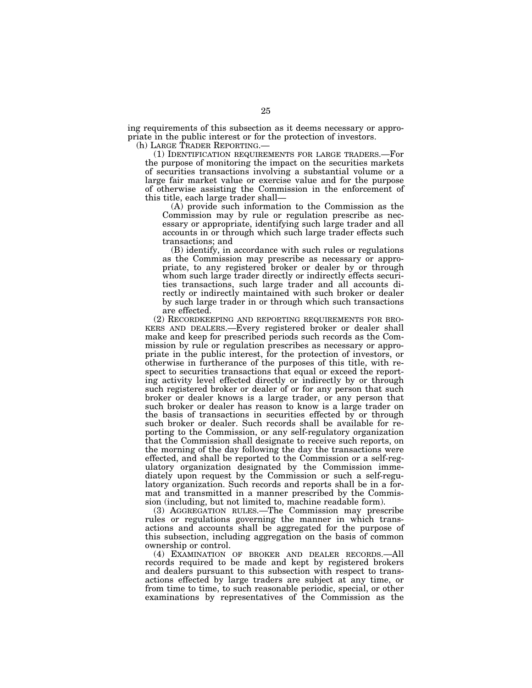ing requirements of this subsection as it deems necessary or appropriate in the public interest or for the protection of investors.

(h) LARGE TRADER REPORTING.— (1) IDENTIFICATION REQUIREMENTS FOR LARGE TRADERS.—For the purpose of monitoring the impact on the securities markets of securities transactions involving a substantial volume or a large fair market value or exercise value and for the purpose of otherwise assisting the Commission in the enforcement of this title, each large trader shall—

(A) provide such information to the Commission as the Commission may by rule or regulation prescribe as necessary or appropriate, identifying such large trader and all accounts in or through which such large trader effects such transactions; and

(B) identify, in accordance with such rules or regulations as the Commission may prescribe as necessary or appropriate, to any registered broker or dealer by or through whom such large trader directly or indirectly effects securities transactions, such large trader and all accounts directly or indirectly maintained with such broker or dealer by such large trader in or through which such transactions

are effected.<br>(2) RECORDKEEPING AND REPORTING REQUIREMENTS FOR BRO-KERS AND DEALERS.—Every registered broker or dealer shall make and keep for prescribed periods such records as the Commission by rule or regulation prescribes as necessary or appropriate in the public interest, for the protection of investors, or otherwise in furtherance of the purposes of this title, with respect to securities transactions that equal or exceed the reporting activity level effected directly or indirectly by or through such registered broker or dealer of or for any person that such broker or dealer knows is a large trader, or any person that such broker or dealer has reason to know is a large trader on the basis of transactions in securities effected by or through such broker or dealer. Such records shall be available for reporting to the Commission, or any self-regulatory organization that the Commission shall designate to receive such reports, on the morning of the day following the day the transactions were effected, and shall be reported to the Commission or a self-regulatory organization designated by the Commission immediately upon request by the Commission or such a self-regulatory organization. Such records and reports shall be in a format and transmitted in a manner prescribed by the Commission (including, but not limited to, machine readable form).

(3) AGGREGATION RULES.—The Commission may prescribe rules or regulations governing the manner in which transactions and accounts shall be aggregated for the purpose of this subsection, including aggregation on the basis of common ownership or control.

(4) EXAMINATION OF BROKER AND DEALER RECORDS.—All records required to be made and kept by registered brokers and dealers pursuant to this subsection with respect to transactions effected by large traders are subject at any time, or from time to time, to such reasonable periodic, special, or other examinations by representatives of the Commission as the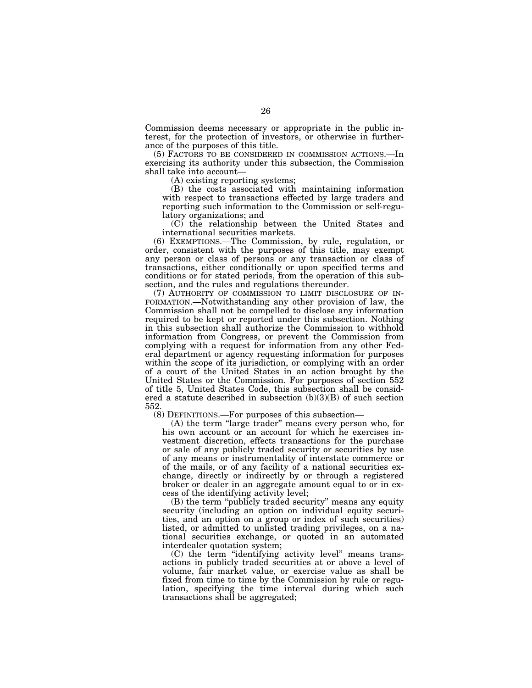Commission deems necessary or appropriate in the public interest, for the protection of investors, or otherwise in furtherance of the purposes of this title.

(5) FACTORS TO BE CONSIDERED IN COMMISSION ACTIONS.—In exercising its authority under this subsection, the Commission shall take into account—

(A) existing reporting systems;

(B) the costs associated with maintaining information with respect to transactions effected by large traders and reporting such information to the Commission or self-regulatory organizations; and

(C) the relationship between the United States and international securities markets.

(6) EXEMPTIONS.—The Commission, by rule, regulation, or order, consistent with the purposes of this title, may exempt any person or class of persons or any transaction or class of transactions, either conditionally or upon specified terms and conditions or for stated periods, from the operation of this subsection, and the rules and regulations thereunder.

(7) AUTHORITY OF COMMISSION TO LIMIT DISCLOSURE OF IN- FORMATION.—Notwithstanding any other provision of law, the Commission shall not be compelled to disclose any information required to be kept or reported under this subsection. Nothing in this subsection shall authorize the Commission to withhold information from Congress, or prevent the Commission from complying with a request for information from any other Federal department or agency requesting information for purposes within the scope of its jurisdiction, or complying with an order of a court of the United States in an action brought by the United States or the Commission. For purposes of section 552 of title 5, United States Code, this subsection shall be considered a statute described in subsection  $(b)(3)(B)$  of such section 552.

(8) DEFINITIONS.—For purposes of this subsection—

(A) the term "large trader" means every person who, for his own account or an account for which he exercises investment discretion, effects transactions for the purchase or sale of any publicly traded security or securities by use of any means or instrumentality of interstate commerce or of the mails, or of any facility of a national securities exchange, directly or indirectly by or through a registered broker or dealer in an aggregate amount equal to or in excess of the identifying activity level;

(B) the term ''publicly traded security'' means any equity security (including an option on individual equity securities, and an option on a group or index of such securities) listed, or admitted to unlisted trading privileges, on a national securities exchange, or quoted in an automated interdealer quotation system;

(C) the term ''identifying activity level'' means transactions in publicly traded securities at or above a level of volume, fair market value, or exercise value as shall be fixed from time to time by the Commission by rule or regulation, specifying the time interval during which such transactions shall be aggregated;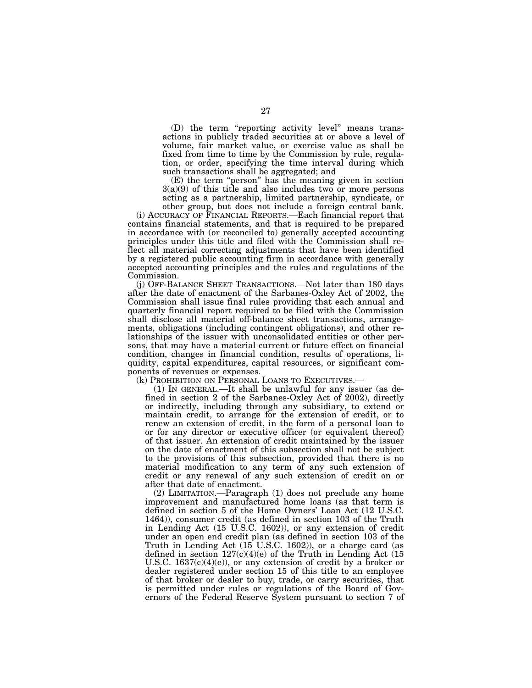(D) the term "reporting activity level" means transactions in publicly traded securities at or above a level of volume, fair market value, or exercise value as shall be fixed from time to time by the Commission by rule, regulation, or order, specifying the time interval during which such transactions shall be aggregated; and

(E) the term ''person'' has the meaning given in section 3(a)(9) of this title and also includes two or more persons acting as a partnership, limited partnership, syndicate, or other group, but does not include a foreign central bank.

(i) ACCURACY OF FINANCIAL REPORTS.—Each financial report that contains financial statements, and that is required to be prepared in accordance with (or reconciled to) generally accepted accounting principles under this title and filed with the Commission shall reflect all material correcting adjustments that have been identified by a registered public accounting firm in accordance with generally accepted accounting principles and the rules and regulations of the Commission.

(j) OFF-BALANCE SHEET TRANSACTIONS.—Not later than 180 days after the date of enactment of the Sarbanes-Oxley Act of 2002, the Commission shall issue final rules providing that each annual and quarterly financial report required to be filed with the Commission shall disclose all material off-balance sheet transactions, arrangements, obligations (including contingent obligations), and other relationships of the issuer with unconsolidated entities or other persons, that may have a material current or future effect on financial condition, changes in financial condition, results of operations, liquidity, capital expenditures, capital resources, or significant components of revenues or expenses.

(k) PROHIBITION ON PERSONAL LOANS TO EXECUTIVES.—

(1) IN GENERAL.—It shall be unlawful for any issuer (as defined in section 2 of the Sarbanes-Oxley Act of 2002), directly or indirectly, including through any subsidiary, to extend or maintain credit, to arrange for the extension of credit, or to renew an extension of credit, in the form of a personal loan to or for any director or executive officer (or equivalent thereof) of that issuer. An extension of credit maintained by the issuer on the date of enactment of this subsection shall not be subject to the provisions of this subsection, provided that there is no material modification to any term of any such extension of credit or any renewal of any such extension of credit on or after that date of enactment.

(2) LIMITATION.—Paragraph (1) does not preclude any home improvement and manufactured home loans (as that term is defined in section 5 of the Home Owners' Loan Act (12 U.S.C. 1464)), consumer credit (as defined in section 103 of the Truth in Lending Act (15 U.S.C. 1602)), or any extension of credit under an open end credit plan (as defined in section 103 of the Truth in Lending Act (15 U.S.C. 1602)), or a charge card (as defined in section  $127(c)(4)(e)$  of the Truth in Lending Act (15) U.S.C. 1637(c)(4)(e)), or any extension of credit by a broker or dealer registered under section 15 of this title to an employee of that broker or dealer to buy, trade, or carry securities, that is permitted under rules or regulations of the Board of Governors of the Federal Reserve System pursuant to section 7 of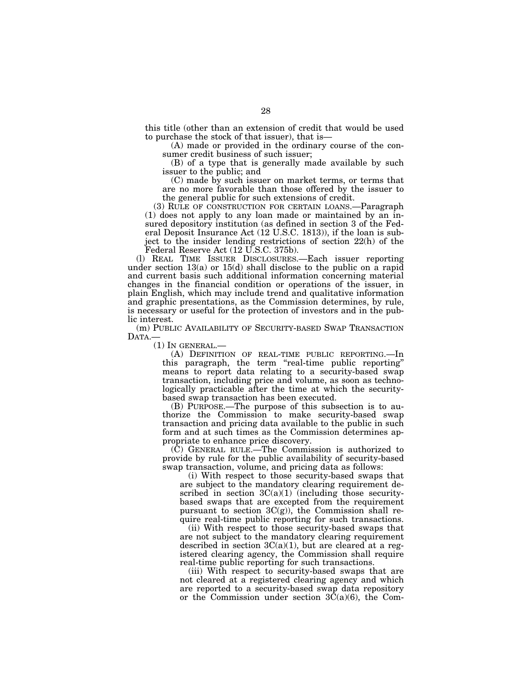this title (other than an extension of credit that would be used to purchase the stock of that issuer), that is—

(A) made or provided in the ordinary course of the consumer credit business of such issuer;

(B) of a type that is generally made available by such issuer to the public; and

(C) made by such issuer on market terms, or terms that are no more favorable than those offered by the issuer to the general public for such extensions of credit.

(3) RULE OF CONSTRUCTION FOR CERTAIN LOANS.—Paragraph (1) does not apply to any loan made or maintained by an insured depository institution (as defined in section 3 of the Federal Deposit Insurance Act (12 U.S.C. 1813)), if the loan is subject to the insider lending restrictions of section 22(h) of the Federal Reserve Act (12 U.S.C. 375b).

(l) REAL TIME ISSUER DISCLOSURES.—Each issuer reporting under section 13(a) or 15(d) shall disclose to the public on a rapid and current basis such additional information concerning material changes in the financial condition or operations of the issuer, in plain English, which may include trend and qualitative information and graphic presentations, as the Commission determines, by rule, is necessary or useful for the protection of investors and in the public interest.

(m) PUBLIC AVAILABILITY OF SECURITY-BASED SWAP TRANSACTION DATA.—

(1) IN GENERAL.— (A) DEFINITION OF REAL-TIME PUBLIC REPORTING.—In this paragraph, the term "real-time public reporting" means to report data relating to a security-based swap transaction, including price and volume, as soon as technologically practicable after the time at which the securitybased swap transaction has been executed.

(B) PURPOSE.—The purpose of this subsection is to authorize the Commission to make security-based swap transaction and pricing data available to the public in such form and at such times as the Commission determines appropriate to enhance price discovery.

(C) GENERAL RULE.—The Commission is authorized to provide by rule for the public availability of security-based swap transaction, volume, and pricing data as follows:

(i) With respect to those security-based swaps that are subject to the mandatory clearing requirement described in section  $3C(a)(1)$  (including those securitybased swaps that are excepted from the requirement pursuant to section  $3C(g)$ , the Commission shall require real-time public reporting for such transactions.

(ii) With respect to those security-based swaps that are not subject to the mandatory clearing requirement described in section  $3C(a)(1)$ , but are cleared at a registered clearing agency, the Commission shall require real-time public reporting for such transactions.

(iii) With respect to security-based swaps that are not cleared at a registered clearing agency and which are reported to a security-based swap data repository or the Commission under section  $3C(a)(6)$ , the Com-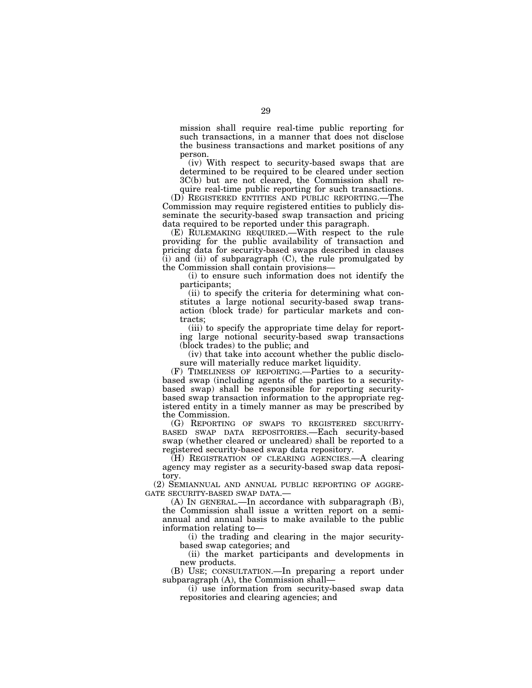mission shall require real-time public reporting for such transactions, in a manner that does not disclose the business transactions and market positions of any person.

(iv) With respect to security-based swaps that are determined to be required to be cleared under section 3C(b) but are not cleared, the Commission shall re-

quire real-time public reporting for such transactions. (D) REGISTERED ENTITIES AND PUBLIC REPORTING.—The Commission may require registered entities to publicly disseminate the security-based swap transaction and pricing data required to be reported under this paragraph.

(E) RULEMAKING REQUIRED.—With respect to the rule providing for the public availability of transaction and pricing data for security-based swaps described in clauses (i) and (ii) of subparagraph (C), the rule promulgated by the Commission shall contain provisions—

(i) to ensure such information does not identify the participants;

(ii) to specify the criteria for determining what constitutes a large notional security-based swap transaction (block trade) for particular markets and contracts;

(iii) to specify the appropriate time delay for reporting large notional security-based swap transactions (block trades) to the public; and

(iv) that take into account whether the public disclosure will materially reduce market liquidity.

(F) TIMELINESS OF REPORTING.—Parties to a securitybased swap (including agents of the parties to a securitybased swap) shall be responsible for reporting securitybased swap transaction information to the appropriate registered entity in a timely manner as may be prescribed by the Commission.<br>
(G) REPORTING OF SWAPS TO REGISTERED SECURITY-

BASED SWAP DATA REPOSITORIES.—Each security-based swap (whether cleared or uncleared) shall be reported to a registered security-based swap data repository.

(H) REGISTRATION OF CLEARING AGENCIES.—A clearing agency may register as a security-based swap data repository.

(2) SEMIANNUAL AND ANNUAL PUBLIC REPORTING OF AGGRE-GATE SECURITY-BASED SWAP DATA.—

(A) IN GENERAL.—In accordance with subparagraph (B), the Commission shall issue a written report on a semiannual and annual basis to make available to the public information relating to—

(i) the trading and clearing in the major securitybased swap categories; and

(ii) the market participants and developments in new products.

(B) USE; CONSULTATION.—In preparing a report under subparagraph (A), the Commission shall—

(i) use information from security-based swap data repositories and clearing agencies; and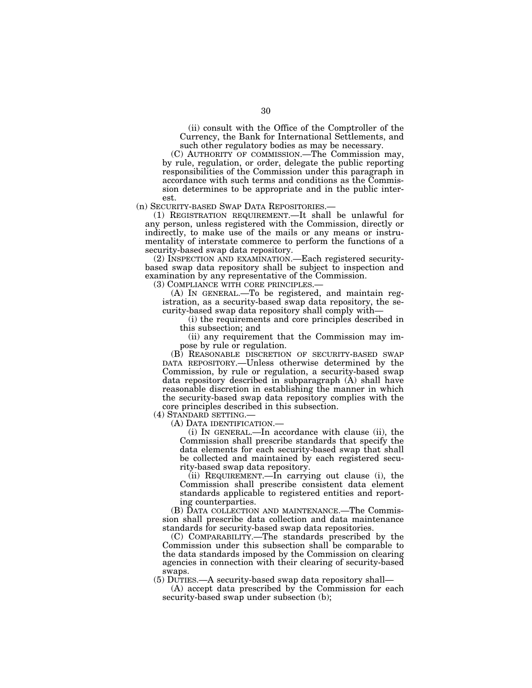(ii) consult with the Office of the Comptroller of the Currency, the Bank for International Settlements, and such other regulatory bodies as may be necessary.

(C) AUTHORITY OF COMMISSION.—The Commission may, by rule, regulation, or order, delegate the public reporting responsibilities of the Commission under this paragraph in accordance with such terms and conditions as the Commission determines to be appropriate and in the public inter-

est.<br>(n) Security-based Swap Data Repositories.-

(1) REGISTRATION REQUIREMENT.—It shall be unlawful for any person, unless registered with the Commission, directly or indirectly, to make use of the mails or any means or instrumentality of interstate commerce to perform the functions of a security-based swap data repository.

(2) INSPECTION AND EXAMINATION.—Each registered securitybased swap data repository shall be subject to inspection and examination by any representative of the Commission.

(3) COMPLIANCE WITH CORE PRINCIPLES.—

(A) IN GENERAL.—To be registered, and maintain registration, as a security-based swap data repository, the security-based swap data repository shall comply with—

(i) the requirements and core principles described in this subsection; and

(ii) any requirement that the Commission may impose by rule or regulation.

(B) REASONABLE DISCRETION OF SECURITY-BASED SWAP DATA REPOSITORY.—Unless otherwise determined by the Commission, by rule or regulation, a security-based swap data repository described in subparagraph (A) shall have reasonable discretion in establishing the manner in which the security-based swap data repository complies with the core principles described in this subsection.

(4) STANDARD SETTING.—<br>(A) DATA IDENTIFICATION.—

 $(i)$  In GENERAL.—In accordance with clause  $(ii)$ , the Commission shall prescribe standards that specify the data elements for each security-based swap that shall be collected and maintained by each registered security-based swap data repository.

(ii) REQUIREMENT.—In carrying out clause (i), the Commission shall prescribe consistent data element standards applicable to registered entities and reporting counterparties.

(B) DATA COLLECTION AND MAINTENANCE.—The Commission shall prescribe data collection and data maintenance standards for security-based swap data repositories.

(C) COMPARABILITY.—The standards prescribed by the Commission under this subsection shall be comparable to the data standards imposed by the Commission on clearing agencies in connection with their clearing of security-based swaps.

(5) DUTIES.—A security-based swap data repository shall—

(A) accept data prescribed by the Commission for each security-based swap under subsection (b);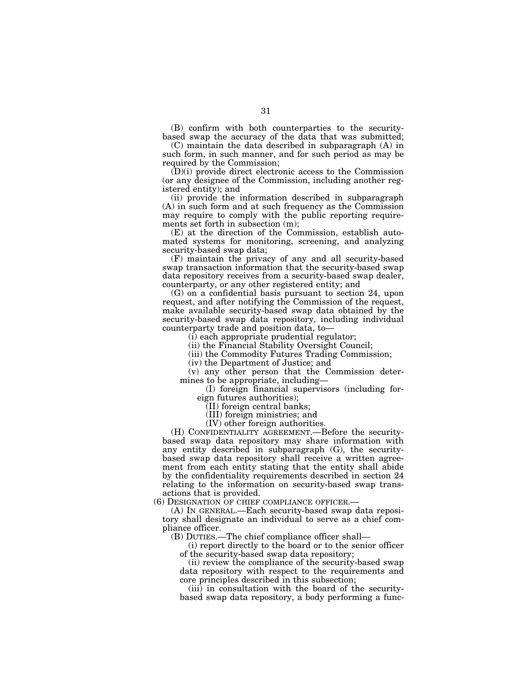(B) confirm with both counterparties to the securitybased swap the accuracy of the data that was submitted;

(C) maintain the data described in subparagraph (A) in such form, in such manner, and for such period as may be required by the Commission;

(D)(i) provide direct electronic access to the Commission (or any designee of the Commission, including another registered entity); and

(ii) provide the information described in subparagraph (A) in such form and at such frequency as the Commission may require to comply with the public reporting requirements set forth in subsection (m);

(E) at the direction of the Commission, establish automated systems for monitoring, screening, and analyzing security-based swap data;

(F) maintain the privacy of any and all security-based swap transaction information that the security-based swap data repository receives from a security-based swap dealer, counterparty, or any other registered entity; and

(G) on a confidential basis pursuant to section 24, upon request, and after notifying the Commission of the request, make available security-based swap data obtained by the security-based swap data repository, including individual counterparty trade and position data, to—

(i) each appropriate prudential regulator;

(ii) the Financial Stability Oversight Council;

(iii) the Commodity Futures Trading Commission;

(iv) the Department of Justice; and

(v) any other person that the Commission determines to be appropriate, including—

(I) foreign financial supervisors (including foreign futures authorities);

(II) foreign central banks;

(III) foreign ministries; and

(IV) other foreign authorities.

(H) CONFIDENTIALITY AGREEMENT.—Before the securitybased swap data repository may share information with any entity described in subparagraph (G), the securitybased swap data repository shall receive a written agreement from each entity stating that the entity shall abide by the confidentiality requirements described in section 24 relating to the information on security-based swap transactions that is provided.

(6) DESIGNATION OF CHIEF COMPLIANCE OFFICER.—

(A) IN GENERAL.—Each security-based swap data repository shall designate an individual to serve as a chief compliance officer.

(B) DUTIES.—The chief compliance officer shall—

(i) report directly to the board or to the senior officer of the security-based swap data repository;

(ii) review the compliance of the security-based swap data repository with respect to the requirements and core principles described in this subsection;

(iii) in consultation with the board of the securitybased swap data repository, a body performing a func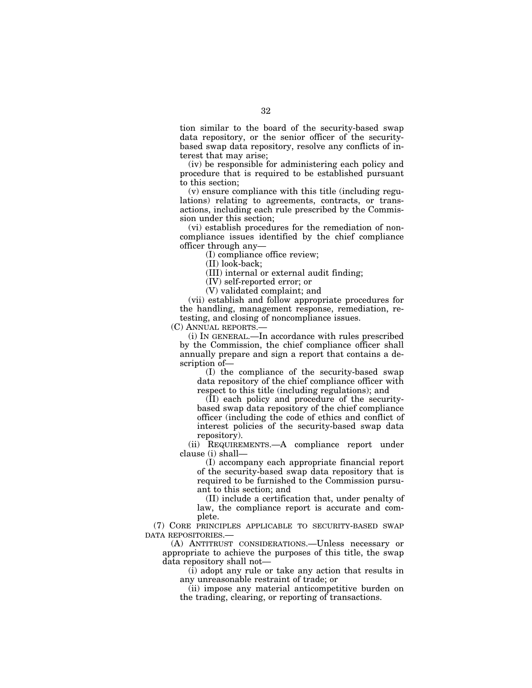tion similar to the board of the security-based swap data repository, or the senior officer of the securitybased swap data repository, resolve any conflicts of interest that may arise;

(iv) be responsible for administering each policy and procedure that is required to be established pursuant to this section;

(v) ensure compliance with this title (including regulations) relating to agreements, contracts, or transactions, including each rule prescribed by the Commission under this section;

(vi) establish procedures for the remediation of noncompliance issues identified by the chief compliance officer through any—

(I) compliance office review;

(II) look-back;

(III) internal or external audit finding;

(IV) self-reported error; or

(V) validated complaint; and

(vii) establish and follow appropriate procedures for the handling, management response, remediation, retesting, and closing of noncompliance issues.

(C) ANNUAL REPORTS.—

(i) IN GENERAL.—In accordance with rules prescribed by the Commission, the chief compliance officer shall annually prepare and sign a report that contains a description of—

(I) the compliance of the security-based swap data repository of the chief compliance officer with respect to this title (including regulations); and

(II) each policy and procedure of the securitybased swap data repository of the chief compliance officer (including the code of ethics and conflict of interest policies of the security-based swap data repository).

(ii) REQUIREMENTS.—A compliance report under clause (i) shall—

(I) accompany each appropriate financial report of the security-based swap data repository that is required to be furnished to the Commission pursuant to this section; and

(II) include a certification that, under penalty of law, the compliance report is accurate and complete.

(7) CORE PRINCIPLES APPLICABLE TO SECURITY-BASED SWAP DATA REPOSITORIES.—

(A) ANTITRUST CONSIDERATIONS.—Unless necessary or appropriate to achieve the purposes of this title, the swap data repository shall not—

(i) adopt any rule or take any action that results in any unreasonable restraint of trade; or

(ii) impose any material anticompetitive burden on the trading, clearing, or reporting of transactions.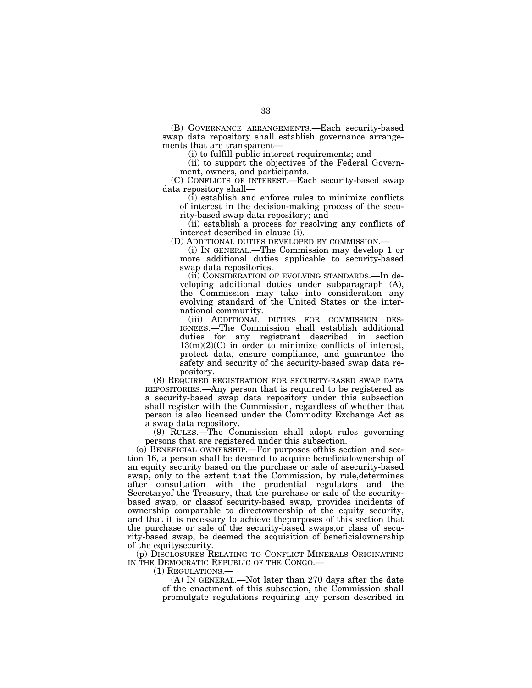(B) GOVERNANCE ARRANGEMENTS.—Each security-based swap data repository shall establish governance arrangements that are transparent—

(i) to fulfill public interest requirements; and

(ii) to support the objectives of the Federal Government, owners, and participants.

(C) CONFLICTS OF INTEREST.—Each security-based swap data repository shall—

(i) establish and enforce rules to minimize conflicts of interest in the decision-making process of the security-based swap data repository; and

(ii) establish a process for resolving any conflicts of interest described in clause (i).

(D) ADDITIONAL DUTIES DEVELOPED BY COMMISSION.—

(i) IN GENERAL.—The Commission may develop 1 or more additional duties applicable to security-based swap data repositories.

(ii) CONSIDERATION OF EVOLVING STANDARDS.—In developing additional duties under subparagraph (A), the Commission may take into consideration any evolving standard of the United States or the international community.<br>
(iii) ADDITIONAL DUTIES FOR COMMISSION DES-

IGNEES.—The Commission shall establish additional duties for any registrant described in section  $13(m)(2)(C)$  in order to minimize conflicts of interest, protect data, ensure compliance, and guarantee the safety and security of the security-based swap data repository.

(8) REQUIRED REGISTRATION FOR SECURITY-BASED SWAP DATA REPOSITORIES.—Any person that is required to be registered as a security-based swap data repository under this subsection shall register with the Commission, regardless of whether that person is also licensed under the Commodity Exchange Act as a swap data repository.

(9) RULES.—The Commission shall adopt rules governing persons that are registered under this subsection.

(o) BENEFICIAL OWNERSHIP.—For purposes ofthis section and section 16, a person shall be deemed to acquire beneficialownership of an equity security based on the purchase or sale of asecurity-based swap, only to the extent that the Commission, by rule,determines after consultation with the prudential regulators and the Secretaryof the Treasury, that the purchase or sale of the securitybased swap, or classof security-based swap, provides incidents of ownership comparable to directownership of the equity security, and that it is necessary to achieve thepurposes of this section that the purchase or sale of the security-based swaps,or class of security-based swap, be deemed the acquisition of beneficialownership of the equitysecurity.

(p) DISCLOSURES RELATING TO CONFLICT MINERALS ORIGINATING IN THE DEMOCRATIC REPUBLIC OF THE CONGO.—

(1) REGULATIONS.—<br>(A) IN GENERAL.—Not later than 270 days after the date of the enactment of this subsection, the Commission shall promulgate regulations requiring any person described in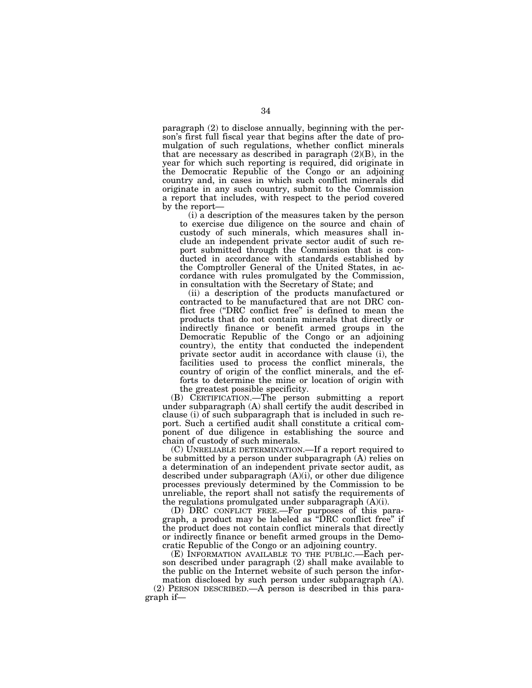paragraph (2) to disclose annually, beginning with the person's first full fiscal year that begins after the date of promulgation of such regulations, whether conflict minerals that are necessary as described in paragraph  $(2)(B)$ , in the year for which such reporting is required, did originate in the Democratic Republic of the Congo or an adjoining country and, in cases in which such conflict minerals did originate in any such country, submit to the Commission a report that includes, with respect to the period covered by the report—

(i) a description of the measures taken by the person to exercise due diligence on the source and chain of custody of such minerals, which measures shall include an independent private sector audit of such report submitted through the Commission that is conducted in accordance with standards established by the Comptroller General of the United States, in accordance with rules promulgated by the Commission, in consultation with the Secretary of State; and

(ii) a description of the products manufactured or contracted to be manufactured that are not DRC conflict free (''DRC conflict free'' is defined to mean the products that do not contain minerals that directly or indirectly finance or benefit armed groups in the Democratic Republic of the Congo or an adjoining country), the entity that conducted the independent private sector audit in accordance with clause (i), the facilities used to process the conflict minerals, the country of origin of the conflict minerals, and the efforts to determine the mine or location of origin with the greatest possible specificity.

(B) CERTIFICATION.—The person submitting a report under subparagraph (A) shall certify the audit described in clause (i) of such subparagraph that is included in such report. Such a certified audit shall constitute a critical component of due diligence in establishing the source and chain of custody of such minerals.

(C) UNRELIABLE DETERMINATION.—If a report required to be submitted by a person under subparagraph (A) relies on a determination of an independent private sector audit, as described under subparagraph (A)(i), or other due diligence processes previously determined by the Commission to be unreliable, the report shall not satisfy the requirements of the regulations promulgated under subparagraph  $(A)(i)$ .

(D) DRC CONFLICT FREE.—For purposes of this paragraph, a product may be labeled as ''DRC conflict free'' if the product does not contain conflict minerals that directly or indirectly finance or benefit armed groups in the Democratic Republic of the Congo or an adjoining country.

(E) INFORMATION AVAILABLE TO THE PUBLIC.—Each person described under paragraph (2) shall make available to the public on the Internet website of such person the infor-

mation disclosed by such person under subparagraph (A). (2) PERSON DESCRIBED.—A person is described in this paragraph if—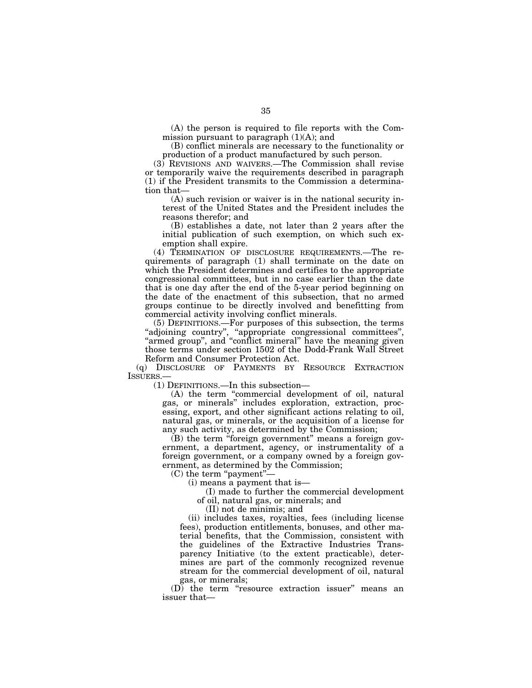(A) the person is required to file reports with the Commission pursuant to paragraph  $(1)(A)$ ; and

(B) conflict minerals are necessary to the functionality or production of a product manufactured by such person.

(3) REVISIONS AND WAIVERS.—The Commission shall revise or temporarily waive the requirements described in paragraph (1) if the President transmits to the Commission a determination that—

(A) such revision or waiver is in the national security interest of the United States and the President includes the reasons therefor; and

(B) establishes a date, not later than 2 years after the initial publication of such exemption, on which such exemption shall expire.

(4) TERMINATION OF DISCLOSURE REQUIREMENTS.—The requirements of paragraph (1) shall terminate on the date on which the President determines and certifies to the appropriate congressional committees, but in no case earlier than the date that is one day after the end of the 5-year period beginning on the date of the enactment of this subsection, that no armed groups continue to be directly involved and benefitting from commercial activity involving conflict minerals.

(5) DEFINITIONS.—For purposes of this subsection, the terms "adjoining country", "appropriate congressional committees", "armed group", and "conflict mineral" have the meaning given those terms under section 1502 of the Dodd-Frank Wall Street Reform and Consumer Protection Act.

(q) DISCLOSURE OF PAYMENTS BY RESOURCE EXTRACTION ISSUERS.—

(1) DEFINITIONS.—In this subsection—

(A) the term ''commercial development of oil, natural gas, or minerals'' includes exploration, extraction, processing, export, and other significant actions relating to oil, natural gas, or minerals, or the acquisition of a license for any such activity, as determined by the Commission;

(B) the term ''foreign government'' means a foreign government, a department, agency, or instrumentality of a foreign government, or a company owned by a foreign government, as determined by the Commission;

 $(C)$  the term "payment"-

(i) means a payment that is—

(I) made to further the commercial development

of oil, natural gas, or minerals; and

(II) not de minimis; and

(ii) includes taxes, royalties, fees (including license fees), production entitlements, bonuses, and other material benefits, that the Commission, consistent with the guidelines of the Extractive Industries Transparency Initiative (to the extent practicable), determines are part of the commonly recognized revenue stream for the commercial development of oil, natural gas, or minerals;

 $(D)$  the term "resource extraction issuer" means an issuer that—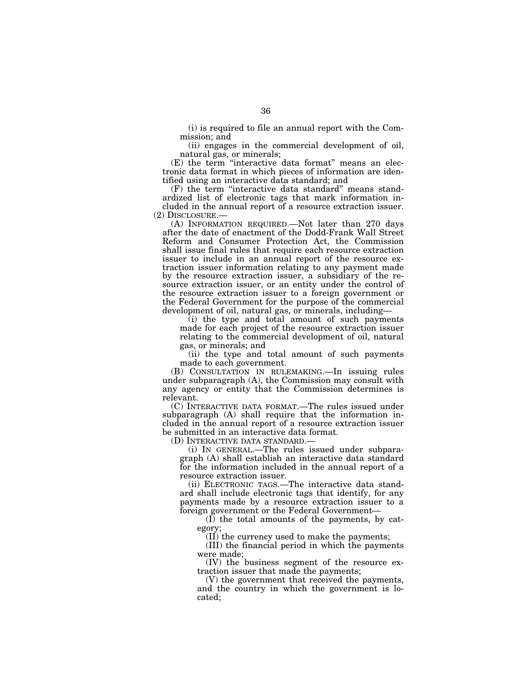(i) is required to file an annual report with the Commission; and

(ii) engages in the commercial development of oil, natural gas, or minerals;

(E) the term ''interactive data format'' means an electronic data format in which pieces of information are identified using an interactive data standard; and

(F) the term ''interactive data standard'' means standardized list of electronic tags that mark information included in the annual report of a resource extraction issuer.

(2) DISCLOSURE.— (A) INFORMATION REQUIRED.—Not later than 270 days after the date of enactment of the Dodd-Frank Wall Street Reform and Consumer Protection Act, the Commission shall issue final rules that require each resource extraction issuer to include in an annual report of the resource extraction issuer information relating to any payment made by the resource extraction issuer, a subsidiary of the resource extraction issuer, or an entity under the control of the resource extraction issuer to a foreign government or the Federal Government for the purpose of the commercial development of oil, natural gas, or minerals, including—

(i) the type and total amount of such payments made for each project of the resource extraction issuer relating to the commercial development of oil, natural gas, or minerals; and

(ii) the type and total amount of such payments made to each government.

(B) CONSULTATION IN RULEMAKING.—In issuing rules under subparagraph (A), the Commission may consult with any agency or entity that the Commission determines is relevant.

(C) INTERACTIVE DATA FORMAT.—The rules issued under subparagraph (A) shall require that the information included in the annual report of a resource extraction issuer be submitted in an interactive data format.

(D) INTERACTIVE DATA STANDARD.— (i) IN GENERAL.—The rules issued under subparagraph (A) shall establish an interactive data standard for the information included in the annual report of a resource extraction issuer.

(ii) ELECTRONIC TAGS.—The interactive data standard shall include electronic tags that identify, for any payments made by a resource extraction issuer to a foreign government or the Federal Government—

(I) the total amounts of the payments, by category;

(II) the currency used to make the payments;

(III) the financial period in which the payments were made;

(IV) the business segment of the resource extraction issuer that made the payments;

(V) the government that received the payments, and the country in which the government is located;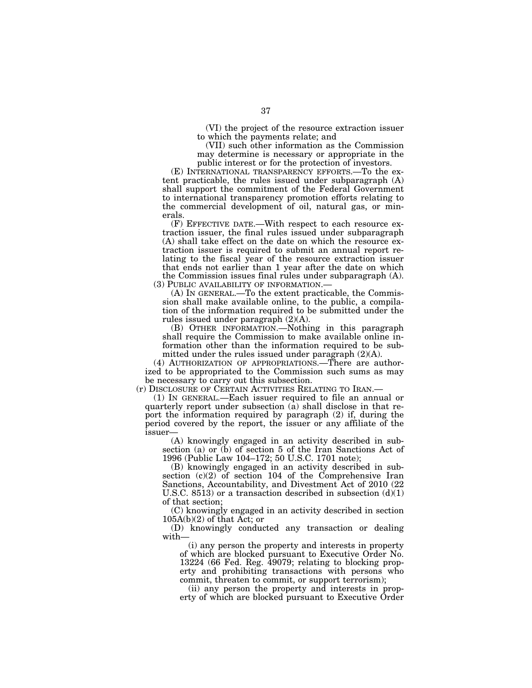(VI) the project of the resource extraction issuer to which the payments relate; and

(VII) such other information as the Commission may determine is necessary or appropriate in the public interest or for the protection of investors.

(E) INTERNATIONAL TRANSPARENCY EFFORTS.—To the extent practicable, the rules issued under subparagraph (A) shall support the commitment of the Federal Government to international transparency promotion efforts relating to the commercial development of oil, natural gas, or minerals.

(F) EFFECTIVE DATE.—With respect to each resource extraction issuer, the final rules issued under subparagraph (A) shall take effect on the date on which the resource extraction issuer is required to submit an annual report relating to the fiscal year of the resource extraction issuer that ends not earlier than 1 year after the date on which the Commission issues final rules under subparagraph (A). (3) PUBLIC AVAILABILITY OF INFORMATION.—

(A) IN GENERAL.—To the extent practicable, the Commission shall make available online, to the public, a compilation of the information required to be submitted under the rules issued under paragraph (2)(A).

(B) OTHER INFORMATION.—Nothing in this paragraph shall require the Commission to make available online information other than the information required to be submitted under the rules issued under paragraph (2)(A).

(4) AUTHORIZATION OF APPROPRIATIONS.—There are authorized to be appropriated to the Commission such sums as may be necessary to carry out this subsection.

(r) DISCLOSURE OF CERTAIN ACTIVITIES RELATING TO IRAN.— (1) IN GENERAL.—Each issuer required to file an annual or quarterly report under subsection (a) shall disclose in that report the information required by paragraph (2) if, during the period covered by the report, the issuer or any affiliate of the issuer—

(A) knowingly engaged in an activity described in subsection (a) or (b) of section 5 of the Iran Sanctions Act of 1996 (Public Law 104–172; 50 U.S.C. 1701 note);

(B) knowingly engaged in an activity described in subsection  $(c)(2)$  of section 104 of the Comprehensive Iran Sanctions, Accountability, and Divestment Act of 2010 (22 U.S.C. 8513) or a transaction described in subsection  $(d)(1)$ of that section;

(C) knowingly engaged in an activity described in section 105A(b)(2) of that Act; or

(D) knowingly conducted any transaction or dealing with—

(i) any person the property and interests in property of which are blocked pursuant to Executive Order No. 13224 (66 Fed. Reg. 49079; relating to blocking property and prohibiting transactions with persons who commit, threaten to commit, or support terrorism);

(ii) any person the property and interests in property of which are blocked pursuant to Executive Order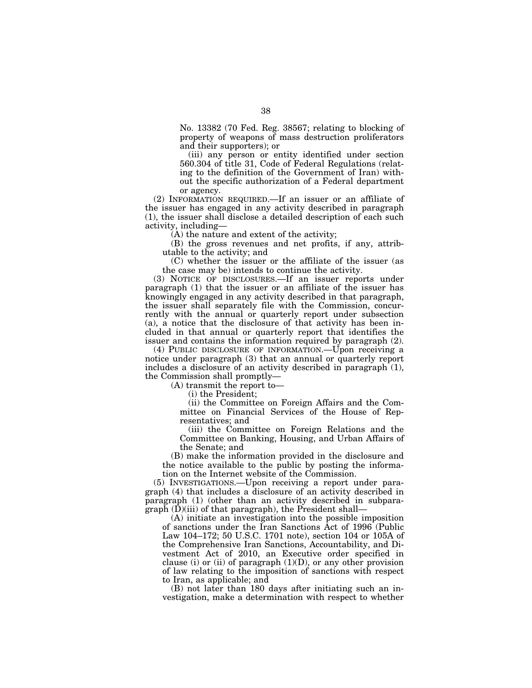No. 13382 (70 Fed. Reg. 38567; relating to blocking of property of weapons of mass destruction proliferators and their supporters); or

(iii) any person or entity identified under section 560.304 of title 31, Code of Federal Regulations (relating to the definition of the Government of Iran) without the specific authorization of a Federal department or agency.

(2) INFORMATION REQUIRED.—If an issuer or an affiliate of the issuer has engaged in any activity described in paragraph (1), the issuer shall disclose a detailed description of each such activity, including—

(A) the nature and extent of the activity;

(B) the gross revenues and net profits, if any, attributable to the activity; and

(C) whether the issuer or the affiliate of the issuer (as the case may be) intends to continue the activity.

(3) NOTICE OF DISCLOSURES.—If an issuer reports under paragraph (1) that the issuer or an affiliate of the issuer has knowingly engaged in any activity described in that paragraph, the issuer shall separately file with the Commission, concurrently with the annual or quarterly report under subsection (a), a notice that the disclosure of that activity has been included in that annual or quarterly report that identifies the issuer and contains the information required by paragraph (2).

(4) PUBLIC DISCLOSURE OF INFORMATION.—Upon receiving a notice under paragraph (3) that an annual or quarterly report includes a disclosure of an activity described in paragraph (1), the Commission shall promptly—

(A) transmit the report to—

(i) the President;

(ii) the Committee on Foreign Affairs and the Committee on Financial Services of the House of Representatives; and

(iii) the Committee on Foreign Relations and the Committee on Banking, Housing, and Urban Affairs of the Senate; and

(B) make the information provided in the disclosure and the notice available to the public by posting the information on the Internet website of the Commission.

(5) INVESTIGATIONS.—Upon receiving a report under paragraph (4) that includes a disclosure of an activity described in paragraph (1) (other than an activity described in subpara $graph$  ( $\bar{D}$ )(iii) of that paragraph), the President shall-

(A) initiate an investigation into the possible imposition of sanctions under the Iran Sanctions Act of 1996 (Public Law 104–172; 50 U.S.C. 1701 note), section 104 or 105A of the Comprehensive Iran Sanctions, Accountability, and Divestment Act of 2010, an Executive order specified in clause (i) or (ii) of paragraph  $(1)(D)$ , or any other provision of law relating to the imposition of sanctions with respect to Iran, as applicable; and

(B) not later than 180 days after initiating such an investigation, make a determination with respect to whether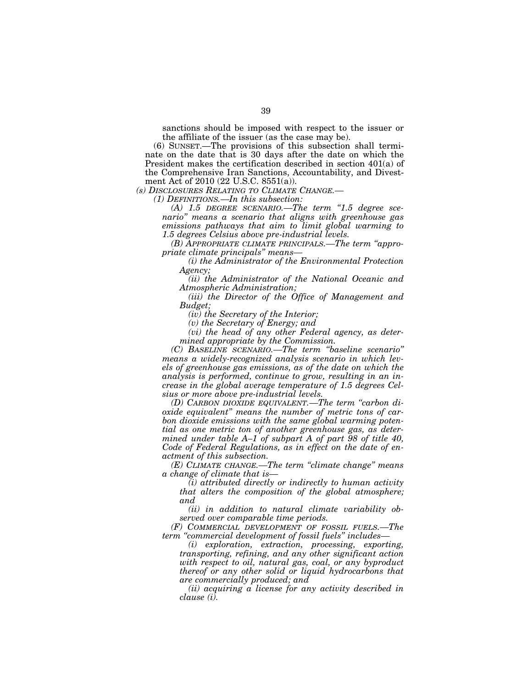sanctions should be imposed with respect to the issuer or the affiliate of the issuer (as the case may be).

(6) SUNSET.—The provisions of this subsection shall terminate on the date that is 30 days after the date on which the President makes the certification described in section 401(a) of the Comprehensive Iran Sanctions, Accountability, and Divestment Act of 2010 (22 U.S.C. 8551(a)).

*(s) DISCLOSURES RELATING TO CLIMATE CHANGE.—* 

*(1) DEFINITIONS.—In this subsection:* 

*(A) 1.5 DEGREE SCENARIO.—The term ''1.5 degree scenario'' means a scenario that aligns with greenhouse gas emissions pathways that aim to limit global warming to 1.5 degrees Celsius above pre-industrial levels.* 

*(B) APPROPRIATE CLIMATE PRINCIPALS.—The term ''appropriate climate principals'' means—* 

*(i) the Administrator of the Environmental Protection Agency;* 

*(ii) the Administrator of the National Oceanic and Atmospheric Administration;* 

*(iii) the Director of the Office of Management and Budget;* 

*(iv) the Secretary of the Interior;* 

*(v) the Secretary of Energy; and* 

*(vi) the head of any other Federal agency, as determined appropriate by the Commission.* 

*(C) BASELINE SCENARIO.—The term ''baseline scenario'' means a widely-recognized analysis scenario in which levels of greenhouse gas emissions, as of the date on which the analysis is performed, continue to grow, resulting in an increase in the global average temperature of 1.5 degrees Celsius or more above pre-industrial levels.* 

*(D) CARBON DIOXIDE EQUIVALENT.—The term ''carbon dioxide equivalent'' means the number of metric tons of carbon dioxide emissions with the same global warming potential as one metric ton of another greenhouse gas, as determined under table A–1 of subpart A of part 98 of title 40, Code of Federal Regulations, as in effect on the date of enactment of this subsection.* 

*(E) CLIMATE CHANGE.—The term ''climate change'' means a change of climate that is—* 

*(i) attributed directly or indirectly to human activity that alters the composition of the global atmosphere; and* 

*(ii) in addition to natural climate variability observed over comparable time periods.* 

*(F) COMMERCIAL DEVELOPMENT OF FOSSIL FUELS.—The term ''commercial development of fossil fuels'' includes—* 

*(i) exploration, extraction, processing, exporting, transporting, refining, and any other significant action with respect to oil, natural gas, coal, or any byproduct thereof or any other solid or liquid hydrocarbons that are commercially produced; and* 

*(ii) acquiring a license for any activity described in clause (i).*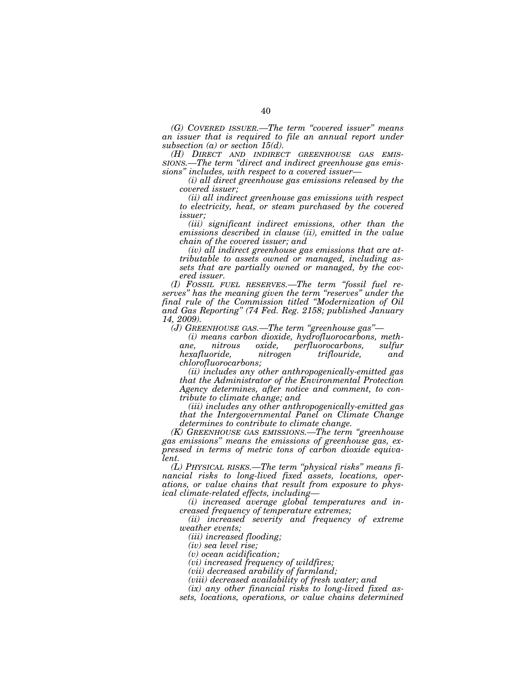*(G) COVERED ISSUER.—The term ''covered issuer'' means an issuer that is required to file an annual report under subsection (a) or section 15(d).* 

*(H) DIRECT AND INDIRECT GREENHOUSE GAS EMIS- SIONS.—The term ''direct and indirect greenhouse gas emissions'' includes, with respect to a covered issuer—* 

*(i) all direct greenhouse gas emissions released by the covered issuer;* 

*(ii) all indirect greenhouse gas emissions with respect to electricity, heat, or steam purchased by the covered issuer;* 

*(iii) significant indirect emissions, other than the emissions described in clause (ii), emitted in the value chain of the covered issuer; and* 

*(iv) all indirect greenhouse gas emissions that are attributable to assets owned or managed, including assets that are partially owned or managed, by the covered issuer.* 

*(I) FOSSIL FUEL RESERVES.—The term ''fossil fuel reserves'' has the meaning given the term ''reserves'' under the final rule of the Commission titled ''Modernization of Oil and Gas Reporting'' (74 Fed. Reg. 2158; published January 14, 2009).* 

*(J) GREENHOUSE GAS.—The term ''greenhouse gas''—* 

*(i) means carbon dioxide, hydrofluorocarbons, methane, nitrous oxide, perfluorocarbons, sulfur hexafluoride, nitrogen triflouride, and chlorofluorocarbons;* 

*(ii) includes any other anthropogenically-emitted gas that the Administrator of the Environmental Protection Agency determines, after notice and comment, to contribute to climate change; and* 

*(iii) includes any other anthropogenically-emitted gas that the Intergovernmental Panel on Climate Change determines to contribute to climate change.* 

*(K) GREENHOUSE GAS EMISSIONS.—The term ''greenhouse gas emissions'' means the emissions of greenhouse gas, expressed in terms of metric tons of carbon dioxide equivalent.* 

*(L) PHYSICAL RISKS.—The term ''physical risks'' means financial risks to long-lived fixed assets, locations, operations, or value chains that result from exposure to physical climate-related effects, including—* 

*(i) increased average global temperatures and increased frequency of temperature extremes;* 

*(ii) increased severity and frequency of extreme weather events;* 

*(iii) increased flooding;* 

*(iv) sea level rise;* 

*(v) ocean acidification;* 

*(vi) increased frequency of wildfires;* 

*(vii) decreased arability of farmland;* 

*(viii) decreased availability of fresh water; and* 

*(ix) any other financial risks to long-lived fixed assets, locations, operations, or value chains determined*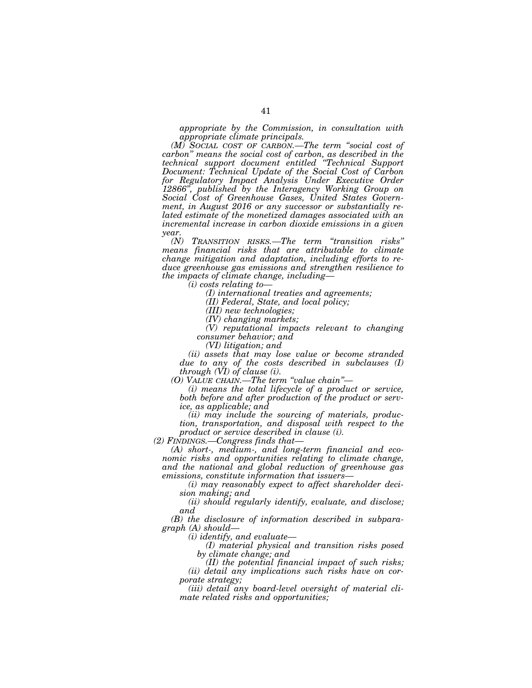*appropriate by the Commission, in consultation with appropriate climate principals.* 

*(M) SOCIAL COST OF CARBON.—The term ''social cost of carbon'' means the social cost of carbon, as described in the technical support document entitled ''Technical Support Document: Technical Update of the Social Cost of Carbon for Regulatory Impact Analysis Under Executive Order 12866'', published by the Interagency Working Group on Social Cost of Greenhouse Gases, United States Government, in August 2016 or any successor or substantially related estimate of the monetized damages associated with an incremental increase in carbon dioxide emissions in a given year.* 

*(N) TRANSITION RISKS.—The term ''transition risks'' means financial risks that are attributable to climate change mitigation and adaptation, including efforts to reduce greenhouse gas emissions and strengthen resilience to the impacts of climate change, including—* 

*(i) costs relating to—* 

*(I) international treaties and agreements;* 

*(II) Federal, State, and local policy;* 

*(III) new technologies;* 

*(IV) changing markets;* 

*(V) reputational impacts relevant to changing consumer behavior; and* 

*(VI) litigation; and* 

*(ii) assets that may lose value or become stranded due to any of the costs described in subclauses (I) through (VI) of clause (i).* 

*(O) VALUE CHAIN.—The term ''value chain''—* 

*(i) means the total lifecycle of a product or service, both before and after production of the product or service, as applicable; and* 

*(ii) may include the sourcing of materials, production, transportation, and disposal with respect to the product or service described in clause (i).* 

*(2) FINDINGS.—Congress finds that—* 

*(A) short-, medium-, and long-term financial and economic risks and opportunities relating to climate change, and the national and global reduction of greenhouse gas emissions, constitute information that issuers—* 

*(i) may reasonably expect to affect shareholder decision making; and* 

*(ii) should regularly identify, evaluate, and disclose; and* 

*(B) the disclosure of information described in subparagraph (A) should—* 

*(i) identify, and evaluate—* 

*(I) material physical and transition risks posed by climate change; and* 

*(II) the potential financial impact of such risks; (ii) detail any implications such risks have on corporate strategy;* 

*(iii) detail any board-level oversight of material climate related risks and opportunities;*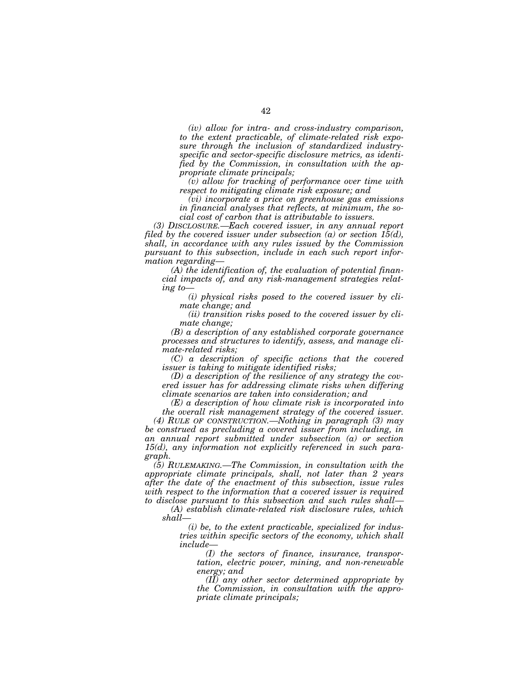*(iv) allow for intra- and cross-industry comparison, to the extent practicable, of climate-related risk exposure through the inclusion of standardized industryspecific and sector-specific disclosure metrics, as identified by the Commission, in consultation with the appropriate climate principals;* 

*(v) allow for tracking of performance over time with respect to mitigating climate risk exposure; and* 

*(vi) incorporate a price on greenhouse gas emissions in financial analyses that reflects, at minimum, the social cost of carbon that is attributable to issuers.* 

*(3) DISCLOSURE.—Each covered issuer, in any annual report filed by the covered issuer under subsection (a) or section 15(d), shall, in accordance with any rules issued by the Commission pursuant to this subsection, include in each such report information regarding—* 

*(A) the identification of, the evaluation of potential financial impacts of, and any risk-management strategies relating to—* 

*(i) physical risks posed to the covered issuer by climate change; and* 

*(ii) transition risks posed to the covered issuer by climate change;* 

*(B) a description of any established corporate governance processes and structures to identify, assess, and manage climate-related risks;* 

*(C) a description of specific actions that the covered issuer is taking to mitigate identified risks;* 

*(D) a description of the resilience of any strategy the covered issuer has for addressing climate risks when differing climate scenarios are taken into consideration; and* 

*(E) a description of how climate risk is incorporated into the overall risk management strategy of the covered issuer.* 

*(4) RULE OF CONSTRUCTION.—Nothing in paragraph (3) may be construed as precluding a covered issuer from including, in an annual report submitted under subsection (a) or section 15(d), any information not explicitly referenced in such paragraph.* 

*(5) RULEMAKING.—The Commission, in consultation with the appropriate climate principals, shall, not later than 2 years after the date of the enactment of this subsection, issue rules with respect to the information that a covered issuer is required to disclose pursuant to this subsection and such rules shall—* 

*(A) establish climate-related risk disclosure rules, which shall—* 

*(i) be, to the extent practicable, specialized for industries within specific sectors of the economy, which shall include—* 

*(I) the sectors of finance, insurance, transportation, electric power, mining, and non-renewable energy; and* 

*(II) any other sector determined appropriate by the Commission, in consultation with the appropriate climate principals;*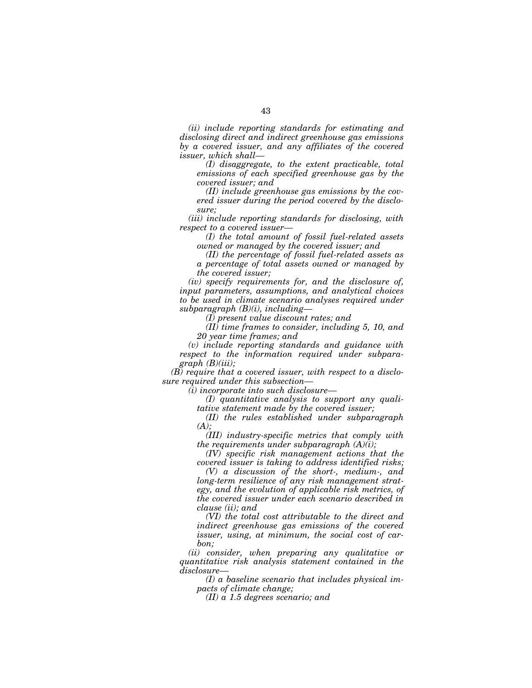*(ii) include reporting standards for estimating and disclosing direct and indirect greenhouse gas emissions by a covered issuer, and any affiliates of the covered issuer, which shall—* 

*(I) disaggregate, to the extent practicable, total emissions of each specified greenhouse gas by the covered issuer; and* 

*(II) include greenhouse gas emissions by the covered issuer during the period covered by the disclosure;* 

*(iii) include reporting standards for disclosing, with respect to a covered issuer—* 

*(I) the total amount of fossil fuel-related assets owned or managed by the covered issuer; and* 

*(II) the percentage of fossil fuel-related assets as a percentage of total assets owned or managed by the covered issuer;* 

*(iv) specify requirements for, and the disclosure of, input parameters, assumptions, and analytical choices to be used in climate scenario analyses required under subparagraph (B)(i), including—* 

*(I) present value discount rates; and* 

*(II) time frames to consider, including 5, 10, and 20 year time frames; and* 

*(v) include reporting standards and guidance with respect to the information required under subparagraph (B)(iii);* 

*(B) require that a covered issuer, with respect to a disclosure required under this subsection—* 

*(i) incorporate into such disclosure—* 

*(I) quantitative analysis to support any qualitative statement made by the covered issuer;* 

*(II) the rules established under subparagraph (A);* 

*(III) industry-specific metrics that comply with the requirements under subparagraph (A)(i);* 

*(IV) specific risk management actions that the covered issuer is taking to address identified risks;* 

*(V) a discussion of the short-, medium-, and long-term resilience of any risk management strategy, and the evolution of applicable risk metrics, of the covered issuer under each scenario described in clause (ii); and* 

*(VI) the total cost attributable to the direct and indirect greenhouse gas emissions of the covered issuer, using, at minimum, the social cost of carbon;* 

*(ii) consider, when preparing any qualitative or quantitative risk analysis statement contained in the disclosure—* 

*(I) a baseline scenario that includes physical impacts of climate change;* 

*(II) a 1.5 degrees scenario; and*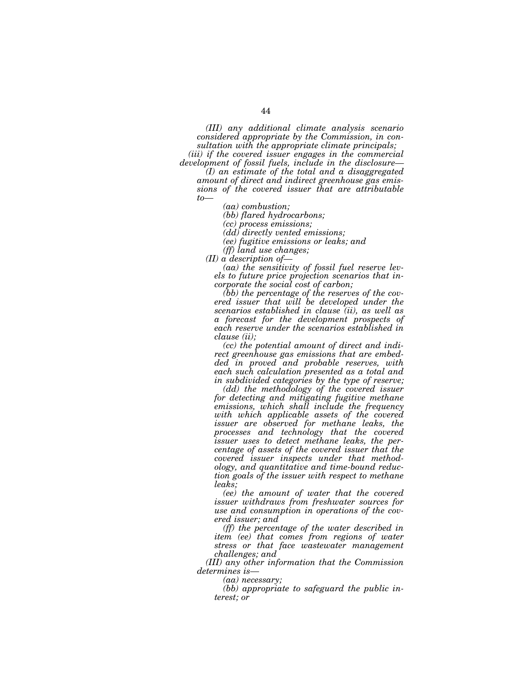*(III) any additional climate analysis scenario considered appropriate by the Commission, in consultation with the appropriate climate principals;* 

*(iii) if the covered issuer engages in the commercial development of fossil fuels, include in the disclosure—* 

*(I) an estimate of the total and a disaggregated amount of direct and indirect greenhouse gas emissions of the covered issuer that are attributable to—* 

*(aa) combustion;* 

*(bb) flared hydrocarbons;* 

*(cc) process emissions;* 

*(dd) directly vented emissions;* 

*(ee) fugitive emissions or leaks; and* 

*(ff) land use changes;* 

*(II) a description of—* 

*(aa) the sensitivity of fossil fuel reserve levels to future price projection scenarios that incorporate the social cost of carbon;* 

*(bb) the percentage of the reserves of the covered issuer that will be developed under the scenarios established in clause (ii), as well as a forecast for the development prospects of each reserve under the scenarios established in clause (ii);* 

*(cc) the potential amount of direct and indirect greenhouse gas emissions that are embedded in proved and probable reserves, with each such calculation presented as a total and in subdivided categories by the type of reserve;* 

*(dd) the methodology of the covered issuer for detecting and mitigating fugitive methane emissions, which shall include the frequency with which applicable assets of the covered issuer are observed for methane leaks, the processes and technology that the covered issuer uses to detect methane leaks, the percentage of assets of the covered issuer that the covered issuer inspects under that methodology, and quantitative and time-bound reduction goals of the issuer with respect to methane leaks;* 

*(ee) the amount of water that the covered issuer withdraws from freshwater sources for use and consumption in operations of the covered issuer; and* 

*(ff) the percentage of the water described in item (ee) that comes from regions of water stress or that face wastewater management challenges; and* 

*(III) any other information that the Commission determines is—* 

*(aa) necessary;* 

*(bb) appropriate to safeguard the public interest; or*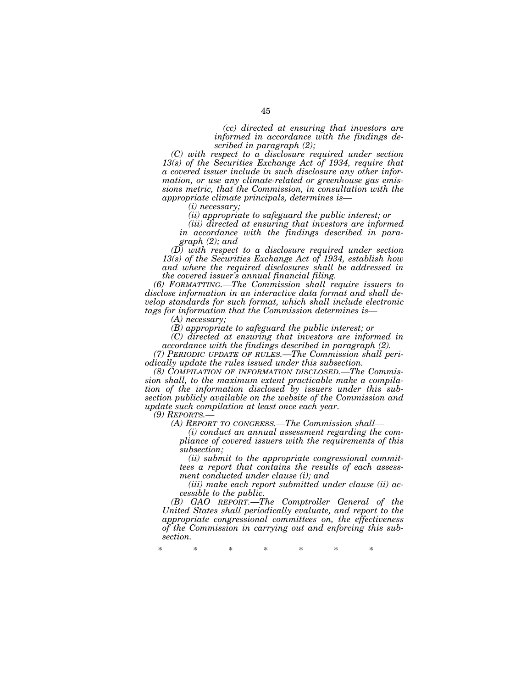*(cc) directed at ensuring that investors are informed in accordance with the findings described in paragraph (2);* 

*(C) with respect to a disclosure required under section 13(s) of the Securities Exchange Act of 1934, require that a covered issuer include in such disclosure any other information, or use any climate-related or greenhouse gas emissions metric, that the Commission, in consultation with the appropriate climate principals, determines is—* 

*(i) necessary;* 

*(ii) appropriate to safeguard the public interest; or* 

*(iii) directed at ensuring that investors are informed in accordance with the findings described in paragraph (2); and* 

*(D) with respect to a disclosure required under section 13(s) of the Securities Exchange Act of 1934, establish how and where the required disclosures shall be addressed in the covered issuer's annual financial filing.* 

*(6) FORMATTING.—The Commission shall require issuers to disclose information in an interactive data format and shall develop standards for such format, which shall include electronic tags for information that the Commission determines is—* 

*(A) necessary;* 

*(B) appropriate to safeguard the public interest; or* 

*(C) directed at ensuring that investors are informed in accordance with the findings described in paragraph (2).* 

*(7) PERIODIC UPDATE OF RULES.—The Commission shall periodically update the rules issued under this subsection.* 

*(8) COMPILATION OF INFORMATION DISCLOSED.—The Commission shall, to the maximum extent practicable make a compilation of the information disclosed by issuers under this subsection publicly available on the website of the Commission and update such compilation at least once each year.* 

*(9) REPORTS.—* 

*(A) REPORT TO CONGRESS.—The Commission shall—* 

*(i) conduct an annual assessment regarding the compliance of covered issuers with the requirements of this subsection;* 

*(ii) submit to the appropriate congressional committees a report that contains the results of each assessment conducted under clause (i); and* 

*(iii) make each report submitted under clause (ii) accessible to the public.* 

*(B) GAO REPORT.—The Comptroller General of the United States shall periodically evaluate, and report to the appropriate congressional committees on, the effectiveness of the Commission in carrying out and enforcing this subsection.* 

\* \* \* \* \* \* \*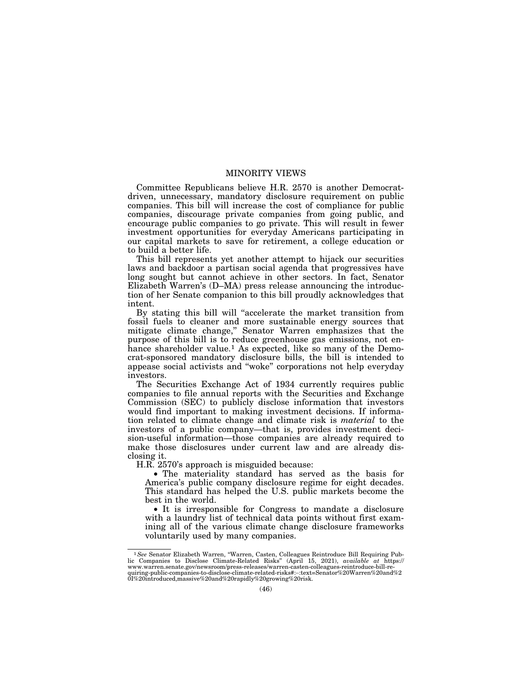## MINORITY VIEWS

Committee Republicans believe H.R. 2570 is another Democratdriven, unnecessary, mandatory disclosure requirement on public companies. This bill will increase the cost of compliance for public companies, discourage private companies from going public, and encourage public companies to go private. This will result in fewer investment opportunities for everyday Americans participating in our capital markets to save for retirement, a college education or to build a better life.

This bill represents yet another attempt to hijack our securities laws and backdoor a partisan social agenda that progressives have long sought but cannot achieve in other sectors. In fact, Senator Elizabeth Warren's (D–MA) press release announcing the introduction of her Senate companion to this bill proudly acknowledges that intent.

By stating this bill will ''accelerate the market transition from fossil fuels to cleaner and more sustainable energy sources that mitigate climate change,'' Senator Warren emphasizes that the purpose of this bill is to reduce greenhouse gas emissions, not enhance shareholder value.<sup>1</sup> As expected, like so many of the Democrat-sponsored mandatory disclosure bills, the bill is intended to appease social activists and ''woke'' corporations not help everyday investors.

The Securities Exchange Act of 1934 currently requires public companies to file annual reports with the Securities and Exchange Commission (SEC) to publicly disclose information that investors would find important to making investment decisions. If information related to climate change and climate risk is *material* to the investors of a public company—that is, provides investment decision-useful information—those companies are already required to make those disclosures under current law and are already disclosing it.

H.R. 2570's approach is misguided because:

• The materiality standard has served as the basis for America's public company disclosure regime for eight decades. This standard has helped the U.S. public markets become the best in the world.

• It is irresponsible for Congress to mandate a disclosure with a laundry list of technical data points without first examining all of the various climate change disclosure frameworks voluntarily used by many companies.

 $^{1}$  See Senator Elizabeth Warren, "Warren, Casten, Colleagues Reintroduce Bill Requiring Public Companies to Disclose Climate-Related Risks" (April 15, 2021), *available at* https://www.warren.senate.gov/newsroom/press-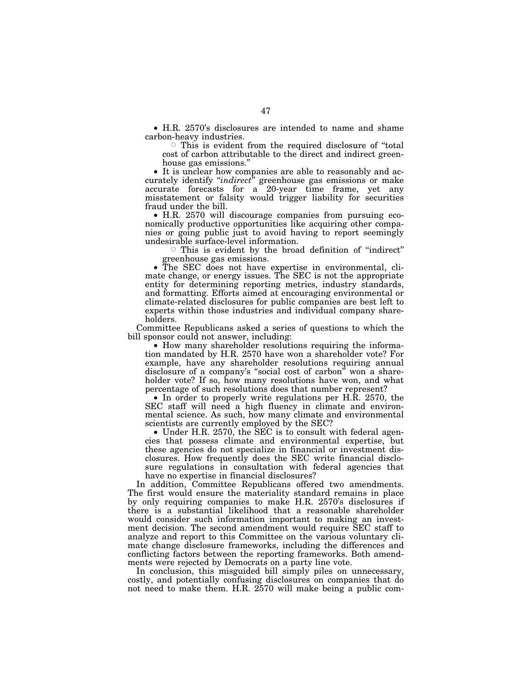• H.R. 2570's disclosures are intended to name and shame carbon-heavy industries.

 $\circ$  This is evident from the required disclosure of "total cost of carbon attributable to the direct and indirect greenhouse gas emissions.''

• It is unclear how companies are able to reasonably and accurately identify ''*indirect*'' greenhouse gas emissions or make accurate forecasts for a 20-year time frame, yet any misstatement or falsity would trigger liability for securities fraud under the bill.

• H.R. 2570 will discourage companies from pursuing economically productive opportunities like acquiring other companies or going public just to avoid having to report seemingly undesirable surface-level information.

 $\circ$  This is evident by the broad definition of "indirect" greenhouse gas emissions.

• The SEC does not have expertise in environmental, climate change, or energy issues. The SEC is not the appropriate entity for determining reporting metrics, industry standards, and formatting. Efforts aimed at encouraging environmental or climate-related disclosures for public companies are best left to experts within those industries and individual company shareholders.

Committee Republicans asked a series of questions to which the bill sponsor could not answer, including:

• How many shareholder resolutions requiring the information mandated by H.R. 2570 have won a shareholder vote? For example, have any shareholder resolutions requiring annual disclosure of a company's ''social cost of carbon'' won a shareholder vote? If so, how many resolutions have won, and what percentage of such resolutions does that number represent?

• In order to properly write regulations per H.R. 2570, the SEC staff will need a high fluency in climate and environmental science. As such, how many climate and environmental scientists are currently employed by the SEC?

• Under H.R. 2570, the SEC is to consult with federal agencies that possess climate and environmental expertise, but these agencies do not specialize in financial or investment disclosures. How frequently does the SEC write financial disclosure regulations in consultation with federal agencies that have no expertise in financial disclosures?

In addition, Committee Republicans offered two amendments. The first would ensure the materiality standard remains in place by only requiring companies to make H.R. 2570's disclosures if there is a substantial likelihood that a reasonable shareholder would consider such information important to making an investment decision. The second amendment would require SEC staff to analyze and report to this Committee on the various voluntary climate change disclosure frameworks, including the differences and conflicting factors between the reporting frameworks. Both amendments were rejected by Democrats on a party line vote.

In conclusion, this misguided bill simply piles on unnecessary, costly, and potentially confusing disclosures on companies that do not need to make them. H.R. 2570 will make being a public com